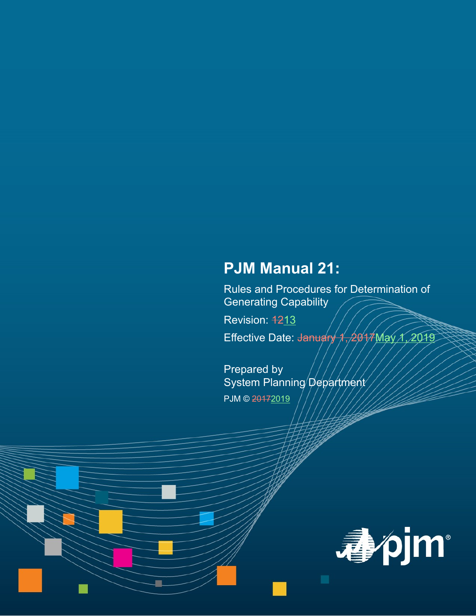# **PJM Manual 21:**

Rules and Procedures for Determination of Generating Capability

Revision: 4213

Effective Date: January 1, 2017 May 1, 2019

Prepared by System Planning Department PJM © 20172019

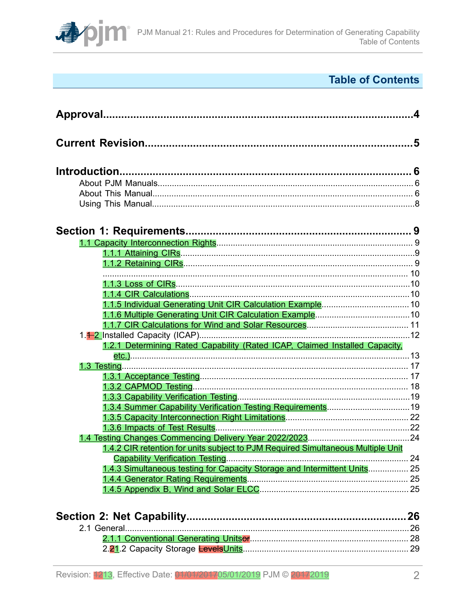

# **Table of Contents**

| 1.2.1 Determining Rated Capability (Rated ICAP, Claimed Installed Capacity,      |    |
|----------------------------------------------------------------------------------|----|
|                                                                                  |    |
|                                                                                  |    |
|                                                                                  |    |
|                                                                                  |    |
|                                                                                  |    |
|                                                                                  |    |
|                                                                                  |    |
|                                                                                  |    |
|                                                                                  |    |
| 1.4.2 CIR retention for units subject to PJM Required Simultaneous Multiple Unit |    |
|                                                                                  |    |
| 1.4.3 Simultaneous testing for Capacity Storage and Intermittent Units 25        |    |
|                                                                                  |    |
|                                                                                  |    |
|                                                                                  |    |
|                                                                                  | 26 |
|                                                                                  |    |
|                                                                                  |    |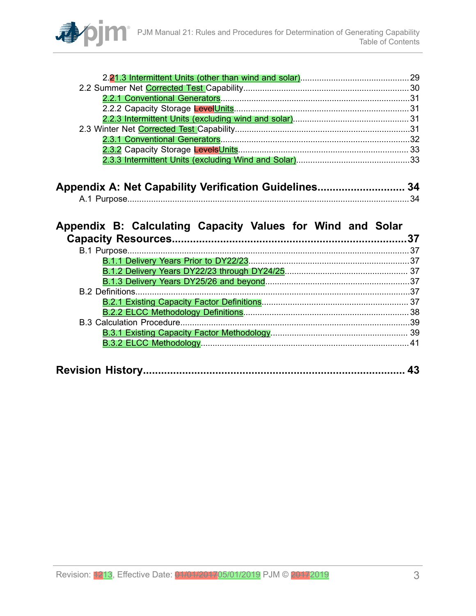

| Appendix A: Net Capability Verification Guidelines 34      |  |
|------------------------------------------------------------|--|
|                                                            |  |
| Appendix B: Calculating Capacity Values for Wind and Solar |  |
|                                                            |  |
|                                                            |  |
|                                                            |  |
|                                                            |  |
|                                                            |  |
|                                                            |  |
|                                                            |  |
|                                                            |  |
|                                                            |  |
|                                                            |  |
|                                                            |  |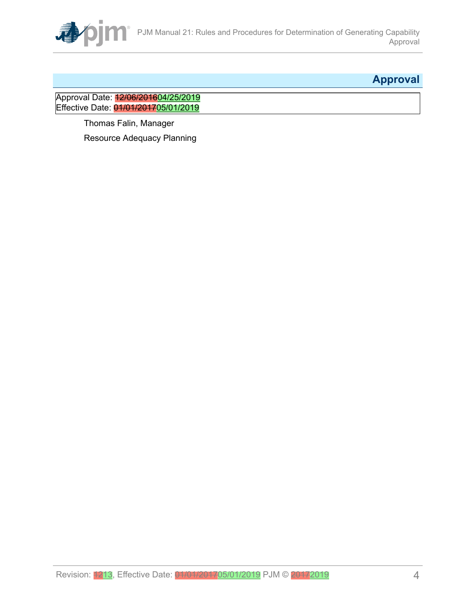

# <span id="page-3-0"></span>**Approval**

Approval Date: 12/06/201604/25/2019 Effective Date: 01/01/201705/01/2019

> Thomas Falin, Manager Resource Adequacy Planning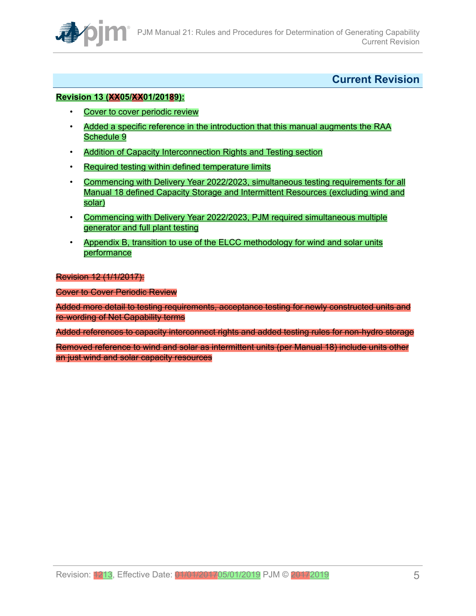

<span id="page-4-0"></span>**Current Revision**

#### **Revision 13 (XX05/XX01/20189):**

- Cover to cover periodic review
- Added a specific reference in the introduction that this manual augments the RAA Schedule 9
- Addition of Capacity Interconnection Rights and Testing section
- Required testing within defined temperature limits
- Commencing with Delivery Year 2022/2023, simultaneous testing requirements for all Manual 18 defined Capacity Storage and Intermittent Resources (excluding wind and solar)
- Commencing with Delivery Year 2022/2023, PJM required simultaneous multiple generator and full plant testing
- Appendix B, transition to use of the ELCC methodology for wind and solar units performance

Revision 12 (1/1/2017):

Cover to Cover Periodic Review

Added more detail to testing requirements, acceptance testing for newly constructed units and re-wording of Net Capability terms

Added references to capacity interconnect rights and added testing rules for non-hydro storage

Removed reference to wind and solar as intermittent units (per Manual 18) include units other an just wind and solar capacity resources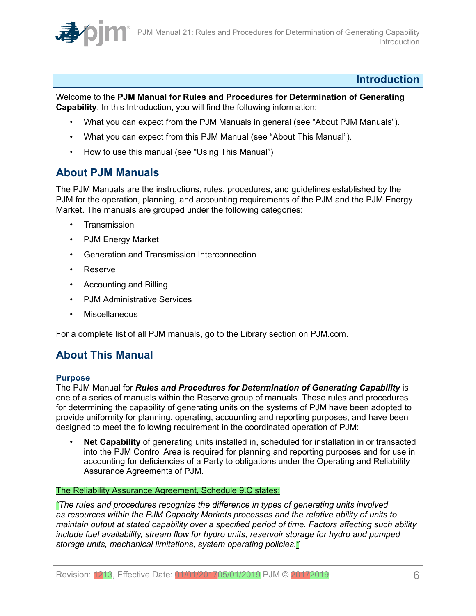

### <span id="page-5-0"></span>**Introduction**

Welcome to the **PJM Manual for Rules and Procedures for Determination of Generating Capability**. In this Introduction, you will find the following information:

- What you can expect from the PJM Manuals in general (see "About PJM Manuals").
- What you can expect from this PJM Manual (see "About This Manual").
- How to use this manual (see "Using This Manual")

# <span id="page-5-1"></span>**About PJM Manuals**

The PJM Manuals are the instructions, rules, procedures, and guidelines established by the PJM for the operation, planning, and accounting requirements of the PJM and the PJM Energy Market. The manuals are grouped under the following categories:

- **Transmission**
- PJM Energy Market
- Generation and Transmission Interconnection
- Reserve
- Accounting and Billing
- PJM Administrative Services
- **Miscellaneous**

For a complete list of all PJM manuals, go to the Library section on PJM.com.

# <span id="page-5-2"></span>**About This Manual**

### **Purpose**

The PJM Manual for *Rules and Procedures for Determination of Generating Capability* is one of a series of manuals within the Reserve group of manuals. These rules and procedures for determining the capability of generating units on the systems of PJM have been adopted to provide uniformity for planning, operating, accounting and reporting purposes, and have been designed to meet the following requirement in the coordinated operation of PJM:

• **Net Capability** of generating units installed in, scheduled for installation in or transacted into the PJM Control Area is required for planning and reporting purposes and for use in accounting for deficiencies of a Party to obligations under the Operating and Reliability Assurance Agreements of PJM.

#### The Reliability Assurance Agreement, Schedule 9.C states:

*"The rules and procedures recognize the difference in types of generating units involved as resources within the PJM Capacity Markets processes and the relative ability of units to maintain output at stated capability over a specified period of time. Factors affecting such ability include fuel availability, stream flow for hydro units, reservoir storage for hydro and pumped storage units, mechanical limitations, system operating policies."*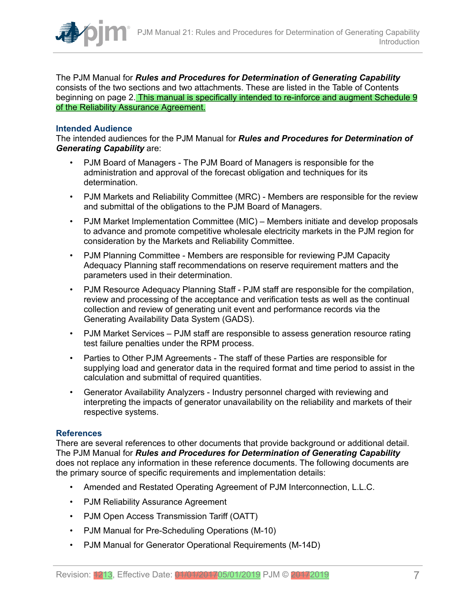

The PJM Manual for *Rules and Procedures for Determination of Generating Capability* consists of the two sections and two attachments. These are listed in the Table of Contents beginning on page 2. This manual is specifically intended to re-inforce and augment Schedule 9 of the Reliability Assurance Agreement.

#### **Intended Audience**

The intended audiences for the PJM Manual for *Rules and Procedures for Determination of Generating Capability* are:

- PJM Board of Managers The PJM Board of Managers is responsible for the administration and approval of the forecast obligation and techniques for its determination.
- PJM Markets and Reliability Committee (MRC) Members are responsible for the review and submittal of the obligations to the PJM Board of Managers.
- PJM Market Implementation Committee (MIC) Members initiate and develop proposals to advance and promote competitive wholesale electricity markets in the PJM region for consideration by the Markets and Reliability Committee.
- PJM Planning Committee Members are responsible for reviewing PJM Capacity Adequacy Planning staff recommendations on reserve requirement matters and the parameters used in their determination.
- PJM Resource Adequacy Planning Staff PJM staff are responsible for the compilation, review and processing of the acceptance and verification tests as well as the continual collection and review of generating unit event and performance records via the Generating Availability Data System (GADS).
- PJM Market Services PJM staff are responsible to assess generation resource rating test failure penalties under the RPM process.
- Parties to Other PJM Agreements The staff of these Parties are responsible for supplying load and generator data in the required format and time period to assist in the calculation and submittal of required quantities.
- Generator Availability Analyzers Industry personnel charged with reviewing and interpreting the impacts of generator unavailability on the reliability and markets of their respective systems.

#### **References**

There are several references to other documents that provide background or additional detail. The PJM Manual for *Rules and Procedures for Determination of Generating Capability* does not replace any information in these reference documents. The following documents are the primary source of specific requirements and implementation details:

- Amended and Restated Operating Agreement of PJM Interconnection, L.L.C.
- PJM Reliability Assurance Agreement
- PJM Open Access Transmission Tariff (OATT)
- PJM Manual for Pre-Scheduling Operations (M-10)
- PJM Manual for Generator Operational Requirements (M-14D)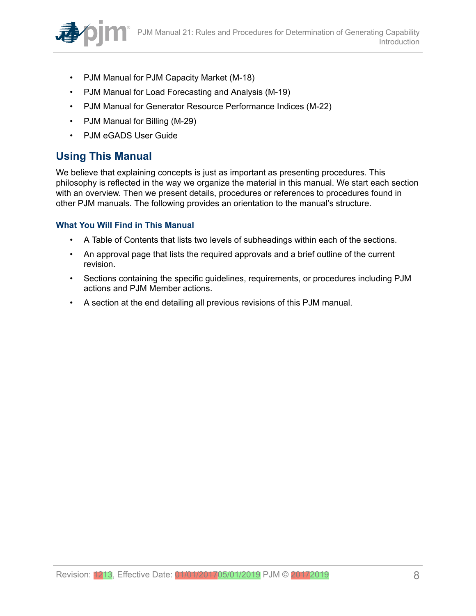

- PJM Manual for PJM Capacity Market (M-18)
- PJM Manual for Load Forecasting and Analysis (M-19)
- PJM Manual for Generator Resource Performance Indices (M-22)
- PJM Manual for Billing (M-29)
- PJM eGADS User Guide

# <span id="page-7-0"></span>**Using This Manual**

We believe that explaining concepts is just as important as presenting procedures. This philosophy is reflected in the way we organize the material in this manual. We start each section with an overview. Then we present details, procedures or references to procedures found in other PJM manuals. The following provides an orientation to the manual's structure.

### **What You Will Find in This Manual**

- A Table of Contents that lists two levels of subheadings within each of the sections.
- An approval page that lists the required approvals and a brief outline of the current revision.
- Sections containing the specific guidelines, requirements, or procedures including PJM actions and PJM Member actions.
- A section at the end detailing all previous revisions of this PJM manual.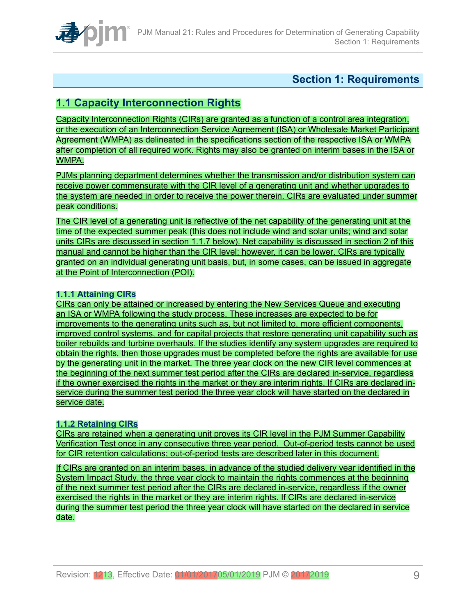

# <span id="page-8-0"></span>**Section 1: Requirements**

# <span id="page-8-1"></span>**1.1 Capacity Interconnection Rights**

Capacity Interconnection Rights (CIRs) are granted as a function of a control area integration, or the execution of an Interconnection Service Agreement (ISA) or Wholesale Market Participant Agreement (WMPA) as delineated in the specifications section of the respective ISA or WMPA after completion of all required work. Rights may also be granted on interim bases in the ISA or WMPA.

PJMs planning department determines whether the transmission and/or distribution system can receive power commensurate with the CIR level of a generating unit and whether upgrades to the system are needed in order to receive the power therein. CIRs are evaluated under summer peak conditions.

The CIR level of a generating unit is reflective of the net capability of the generating unit at the time of the expected summer peak (this does not include wind and solar units; wind and solar units CIRs are discussed in section 1.1.7 below). Net capability is discussed in section 2 of this manual and cannot be higher than the CIR level; however, it can be lower. CIRs are typically granted on an individual generating unit basis, but, in some cases, can be issued in aggregate at the Point of Interconnection (POI).

#### <span id="page-8-2"></span>**1.1.1 Attaining CIRs**

CIRs can only be attained or increased by entering the New Services Queue and executing an ISA or WMPA following the study process. These increases are expected to be for improvements to the generating units such as, but not limited to, more efficient components, improved control systems, and for capital projects that restore generating unit capability such as boiler rebuilds and turbine overhauls. If the studies identify any system upgrades are required to obtain the rights, then those upgrades must be completed before the rights are available for use by the generating unit in the market. The three year clock on the new CIR level commences at the beginning of the next summer test period after the CIRs are declared in-service, regardless if the owner exercised the rights in the market or they are interim rights. If CIRs are declared inservice during the summer test period the three year clock will have started on the declared in service date.

### <span id="page-8-3"></span>**1.1.2 Retaining CIRs**

CIRs are retained when a generating unit proves its CIR level in the PJM Summer Capability Verification Test once in any consecutive three year period. Out-of-period tests cannot be used for CIR retention calculations; out-of-period tests are described later in this document.

If CIRs are granted on an interim bases, in advance of the studied delivery year identified in the System Impact Study, the three year clock to maintain the rights commences at the beginning of the next summer test period after the CIRs are declared in-service, regardless if the owner exercised the rights in the market or they are interim rights. If CIRs are declared in-service during the summer test period the three year clock will have started on the declared in service date.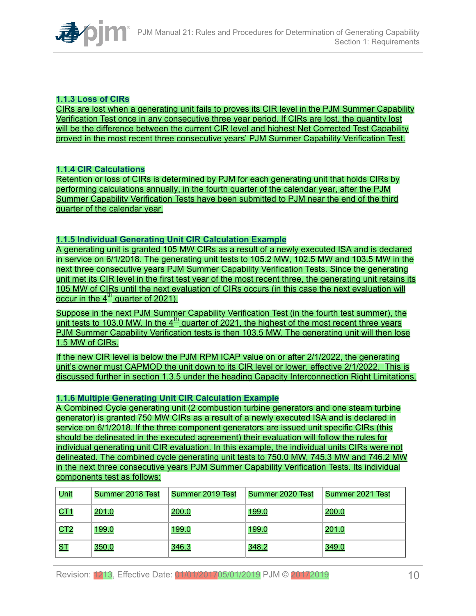

#### <span id="page-9-1"></span><span id="page-9-0"></span>**1.1.3 Loss of CIRs**

CIRs are lost when a generating unit fails to proves its CIR level in the PJM Summer Capability Verification Test once in any consecutive three year period. If CIRs are lost, the quantity lost will be the difference between the current CIR level and highest Net Corrected Test Capability proved in the most recent three consecutive years' PJM Summer Capability Verification Test.

#### <span id="page-9-2"></span>**1.1.4 CIR Calculations**

Retention or loss of CIRs is determined by PJM for each generating unit that holds CIRs by performing calculations annually, in the fourth quarter of the calendar year, after the PJM Summer Capability Verification Tests have been submitted to PJM near the end of the third quarter of the calendar year.

#### <span id="page-9-3"></span>**1.1.5 Individual Generating Unit CIR Calculation Example**

A generating unit is granted 105 MW CIRs as a result of a newly executed ISA and is declared in service on 6/1/2018. The generating unit tests to 105.2 MW, 102.5 MW and 103.5 MW in the next three consecutive years PJM Summer Capability Verification Tests. Since the generating unit met its CIR level in the first test year of the most recent three, the generating unit retains its 105 MW of CIRs until the next evaluation of CIRs occurs (in this case the next evaluation will occur in the  $4^{th}$  quarter of 2021).

Suppose in the next PJM Summer Capability Verification Test (in the fourth test summer), the unit tests to 103.0 MW. In the  $4^{\text{m}}$  quarter of 2021, the highest of the most recent three years PJM Summer Capability Verification tests is then 103.5 MW. The generating unit will then lose 1.5 MW of CIRs.

If the new CIR level is below the PJM RPM ICAP value on or after 2/1/2022, the generating unit's owner must CAPMOD the unit down to its CIR level or lower, effective 2/1/2022. This is discussed further in section 1.3.5 under the heading Capacity Interconnection Right Limitations.

#### <span id="page-9-4"></span>**1.1.6 Multiple Generating Unit CIR Calculation Example**

A Combined Cycle generating unit (2 combustion turbine generators and one steam turbine generator) is granted 750 MW CIRs as a result of a newly executed ISA and is declared in service on 6/1/2018. If the three component generators are issued unit specific CIRs (this should be delineated in the executed agreement) their evaluation will follow the rules for individual generating unit CIR evaluation. In this example, the individual units CIRs were not delineated. The combined cycle generating unit tests to 750.0 MW, 745.3 MW and 746.2 MW in the next three consecutive years PJM Summer Capability Verification Tests. Its individual components test as follows:

| <u>Unit</u> | Summer 2018 Test | Summer 2019 Test | Summer 2020 Test | Summer 2021 Test |
|-------------|------------------|------------------|------------------|------------------|
| <u>CT1</u>  | <u> 201.0</u>    | <u> 200.0</u>    | <u> 199.0</u>    | <u> 200.0</u>    |
| CT2         | <u> 199.0</u>    | <u> 199.0</u>    | <u> 199.0</u>    | <u> 201.0</u>    |
|             | <u>350.0</u>     | <u>346.3</u>     | <u>348.2</u>     | <u>349.0</u>     |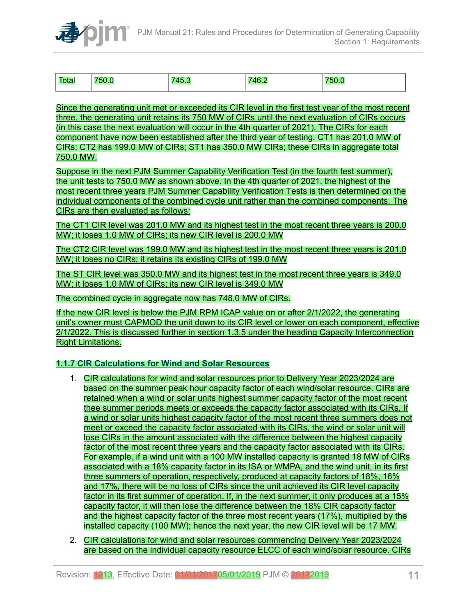

| <u>.</u> | ----<br>750 | 1746 | - 1 |
|----------|-------------|------|-----|
|          |             |      |     |

Since the generating unit met or exceeded its CIR level in the first test year of the most recent three, the generating unit retains its 750 MW of CIRs until the next evaluation of CIRs occurs (in this case the next evaluation will occur in the 4th quarter of 2021). The CIRs for each component have now been established after the third year of testing. CT1 has 201.0 MW of CIRs; CT2 has 199.0 MW of CIRs; ST1 has 350.0 MW CIRs; these CIRs in aggregate total 750.0 MW.

Suppose in the next PJM Summer Capability Verification Test (in the fourth test summer), the unit tests to 750.0 MW as shown above. In the 4th quarter of 2021, the highest of the most recent three years PJM Summer Capability Verification Tests is then determined on the individual components of the combined cycle unit rather than the combined components. The CIRs are then evaluated as follows:

The CT1 CIR level was 201.0 MW and its highest test in the most recent three years is 200.0 MW; it loses 1.0 MW of CIRs; its new CIR level is 200.0 MW

The CT2 CIR level was 199.0 MW and its highest test in the most recent three years is 201.0 MW; it loses no CIRs; it retains its existing CIRs of 199.0 MW

The ST CIR level was 350.0 MW and its highest test in the most recent three years is 349.0 MW; it loses 1.0 MW of CIRs; its new CIR level is 349.0 MW

The combined cycle in aggregate now has 748.0 MW of CIRs.

If the new CIR level is below the PJM RPM ICAP value on or after 2/1/2022, the generating unit's owner must CAPMOD the unit down to its CIR level or lower on each component, effective 2/1/2022. This is discussed further in section 1.3.5 under the heading Capacity Interconnection Right Limitations.

### <span id="page-10-0"></span>**1.1.7 CIR Calculations for Wind and Solar Resources**

- 1. CIR calculations for wind and solar resources prior to Delivery Year 2023/2024 are based on the summer peak hour capacity factor of each wind/solar resource. CIRs are retained when a wind or solar units highest summer capacity factor of the most recent thee summer periods meets or exceeds the capacity factor associated with its CIRs. If a wind or solar units highest capacity factor of the most recent three summers does not meet or exceed the capacity factor associated with its CIRs, the wind or solar unit will lose CIRs in the amount associated with the difference between the highest capacity factor of the most recent three years and the capacity factor associated with its CIRs. For example, if a wind unit with a 100 MW installed capacity is granted 18 MW of CIRs associated with a 18% capacity factor in its ISA or WMPA, and the wind unit, in its first three summers of operation, respectively, produced at capacity factors of 18%, 16% and 17%, there will be no loss of CIRs since the unit achieved its CIR level capacity factor in its first summer of operation. If, in the next summer, it only produces at a 15% capacity factor, it will then lose the difference between the 18% CIR capacity factor and the highest capacity factor of the three most recent years (17%), multiplied by the installed capacity (100 MW); hence the next year, the new CIR level will be 17 MW.
- 2. CIR calculations for wind and solar resources commencing Delivery Year 2023/2024 are based on the individual capacity resource ELCC of each wind/solar resource. CIRs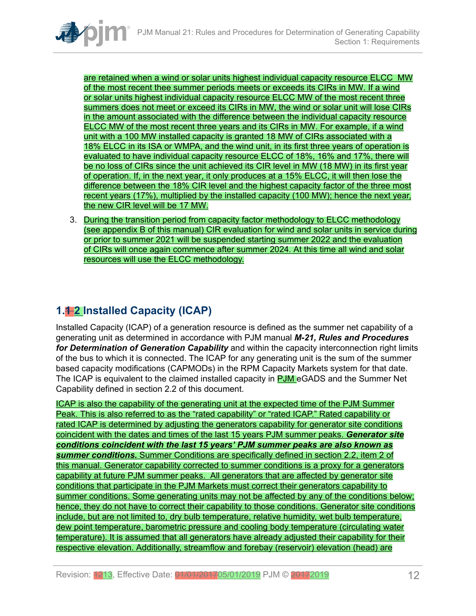

are retained when a wind or solar units highest individual capacity resource ELCC MW of the most recent thee summer periods meets or exceeds its CIRs in MW. If a wind or solar units highest individual capacity resource ELCC MW of the most recent three summers does not meet or exceed its CIRs in MW, the wind or solar unit will lose CIRs in the amount associated with the difference between the individual capacity resource ELCC MW of the most recent three years and its CIRs in MW. For example, if a wind unit with a 100 MW installed capacity is granted 18 MW of CIRs associated with a 18% ELCC in its ISA or WMPA, and the wind unit, in its first three years of operation is evaluated to have individual capacity resource ELCC of 18%, 16% and 17%, there will be no loss of CIRs since the unit achieved its CIR level in MW (18 MW) in its first year of operation. If, in the next year, it only produces at a 15% ELCC, it will then lose the difference between the 18% CIR level and the highest capacity factor of the three most recent years (17%), multiplied by the installed capacity (100 MW); hence the next year, the new CIR level will be 17 MW.

3. During the transition period from capacity factor methodology to ELCC methodology (see appendix B of this manual) CIR evaluation for wind and solar units in service during or prior to summer 2021 will be suspended starting summer 2022 and the evaluation of CIRs will once again commence after summer 2024. At this time all wind and solar resources will use the ELCC methodology.

# <span id="page-11-0"></span>**1.1 2 Installed Capacity (ICAP)**

Installed Capacity (ICAP) of a generation resource is defined as the summer net capability of a generating unit as determined in accordance with PJM manual *M-21, Rules and Procedures for Determination of Generation Capability* and within the capacity interconnection right limits of the bus to which it is connected. The ICAP for any generating unit is the sum of the summer based capacity modifications (CAPMODs) in the RPM Capacity Markets system for that date. The ICAP is equivalent to the claimed installed capacity in **PJM** eGADS and the Summer Net Capability defined in section 2.2 of this document.

ICAP is also the capability of the generating unit at the expected time of the PJM Summer Peak. This is also referred to as the "rated capability" or "rated ICAP." Rated capability or rated ICAP is determined by adjusting the generators capability for generator site conditions coincident with the dates and times of the last 15 years PJM summer peaks. *Generator site conditions coincident with the last 15 years' PJM summer peaks are also known as summer conditions.* Summer Conditions are specifically defined in section 2.2, item 2 of this manual. Generator capability corrected to summer conditions is a proxy for a generators capability at future PJM summer peaks. All generators that are affected by generator site conditions that participate in the PJM Markets must correct their generators capability to summer conditions. Some generating units may not be affected by any of the conditions below; hence, they do not have to correct their capability to those conditions. Generator site conditions include, but are not limited to, dry bulb temperature, relative humidity, wet bulb temperature, dew point temperature, barometric pressure and cooling body temperature (circulating water temperature). It is assumed that all generators have already adjusted their capability for their respective elevation. Additionally, streamflow and forebay (reservoir) elevation (head) are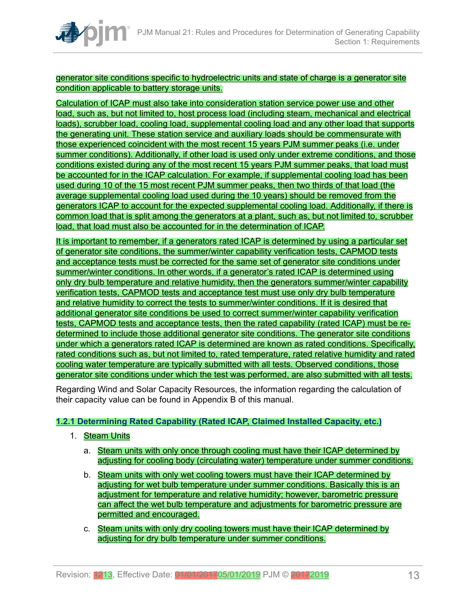

generator site conditions specific to hydroelectric units and state of charge is a generator site condition applicable to battery storage units.

Calculation of ICAP must also take into consideration station service power use and other load, such as, but not limited to, host process load (including steam, mechanical and electrical loads), scrubber load, cooling load, supplemental cooling load and any other load that supports the generating unit. These station service and auxiliary loads should be commensurate with those experienced coincident with the most recent 15 years PJM summer peaks (i.e. under summer conditions). Additionally, if other load is used only under extreme conditions, and those conditions existed during any of the most recent 15 years PJM summer peaks, that load must be accounted for in the ICAP calculation. For example, if supplemental cooling load has been used during 10 of the 15 most recent PJM summer peaks, then two thirds of that load (the average supplemental cooling load used during the 10 years) should be removed from the generators ICAP to account for the expected supplemental cooling load. Additionally, if there is common load that is split among the generators at a plant, such as, but not limited to, scrubber load, that load must also be accounted for in the determination of ICAP.

It is important to remember, if a generators rated ICAP is determined by using a particular set of generator site conditions, the summer/winter capability verification tests, CAPMOD tests and acceptance tests must be corrected for the same set of generator site conditions under summer/winter conditions. In other words, if a generator's rated ICAP is determined using only dry bulb temperature and relative humidity, then the generators summer/winter capability verification tests, CAPMOD tests and acceptance test must use only dry bulb temperature and relative humidity to correct the tests to summer/winter conditions. If it is desired that additional generator site conditions be used to correct summer/winter capability verification tests, CAPMOD tests and acceptance tests, then the rated capability (rated ICAP) must be redetermined to include those additional generator site conditions. The generator site conditions under which a generators rated ICAP is determined are known as rated conditions. Specifically, rated conditions such as, but not limited to, rated temperature, rated relative humidity and rated cooling water temperature are typically submitted with all tests. Observed conditions, those generator site conditions under which the test was performed, are also submitted with all tests.

Regarding Wind and Solar Capacity Resources, the information regarding the calculation of their capacity value can be found in Appendix B of this manual.

### <span id="page-12-0"></span>**1.2.1 Determining Rated Capability (Rated ICAP, Claimed Installed Capacity, etc.)**

- 1. Steam Units
	- a. Steam units with only once through cooling must have their ICAP determined by adjusting for cooling body (circulating water) temperature under summer conditions.
	- b. Steam units with only wet cooling towers must have their ICAP determined by adjusting for wet bulb temperature under summer conditions. Basically this is an adjustment for temperature and relative humidity; however, barometric pressure can affect the wet bulb temperature and adjustments for barometric pressure are permitted and encouraged.
	- c. Steam units with only dry cooling towers must have their ICAP determined by adjusting for dry bulb temperature under summer conditions.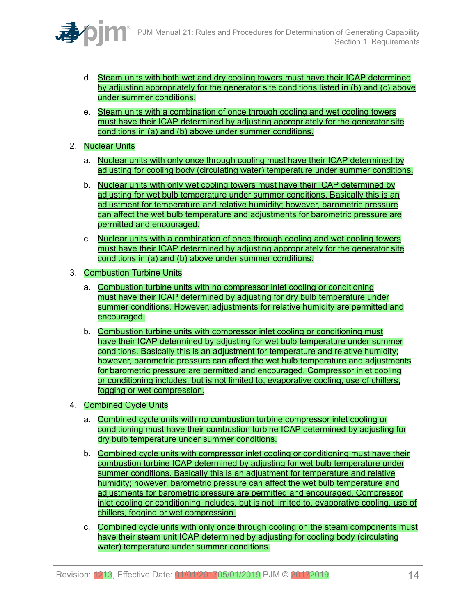

- d. Steam units with both wet and dry cooling towers must have their ICAP determined by adjusting appropriately for the generator site conditions listed in (b) and (c) above under summer conditions.
- e. Steam units with a combination of once through cooling and wet cooling towers must have their ICAP determined by adjusting appropriately for the generator site conditions in (a) and (b) above under summer conditions.
- 2. Nuclear Units
	- a. Nuclear units with only once through cooling must have their ICAP determined by adjusting for cooling body (circulating water) temperature under summer conditions.
	- b. Nuclear units with only wet cooling towers must have their ICAP determined by adjusting for wet bulb temperature under summer conditions. Basically this is an adjustment for temperature and relative humidity; however, barometric pressure can affect the wet bulb temperature and adjustments for barometric pressure are permitted and encouraged.
	- c. Nuclear units with a combination of once through cooling and wet cooling towers must have their ICAP determined by adjusting appropriately for the generator site conditions in (a) and (b) above under summer conditions.
- 3. Combustion Turbine Units
	- a. Combustion turbine units with no compressor inlet cooling or conditioning must have their ICAP determined by adjusting for dry bulb temperature under summer conditions. However, adjustments for relative humidity are permitted and encouraged.
	- b. Combustion turbine units with compressor inlet cooling or conditioning must have their ICAP determined by adjusting for wet bulb temperature under summer conditions. Basically this is an adjustment for temperature and relative humidity; however, barometric pressure can affect the wet bulb temperature and adjustments for barometric pressure are permitted and encouraged. Compressor inlet cooling or conditioning includes, but is not limited to, evaporative cooling, use of chillers, fogging or wet compression.
- 4. Combined Cycle Units
	- a. Combined cycle units with no combustion turbine compressor inlet cooling or conditioning must have their combustion turbine ICAP determined by adjusting for dry bulb temperature under summer conditions.
	- b. Combined cycle units with compressor inlet cooling or conditioning must have their combustion turbine ICAP determined by adjusting for wet bulb temperature under summer conditions. Basically this is an adjustment for temperature and relative humidity; however, barometric pressure can affect the wet bulb temperature and adjustments for barometric pressure are permitted and encouraged. Compressor inlet cooling or conditioning includes, but is not limited to, evaporative cooling, use of chillers, fogging or wet compression.
	- c. Combined cycle units with only once through cooling on the steam components must have their steam unit ICAP determined by adjusting for cooling body (circulating water) temperature under summer conditions.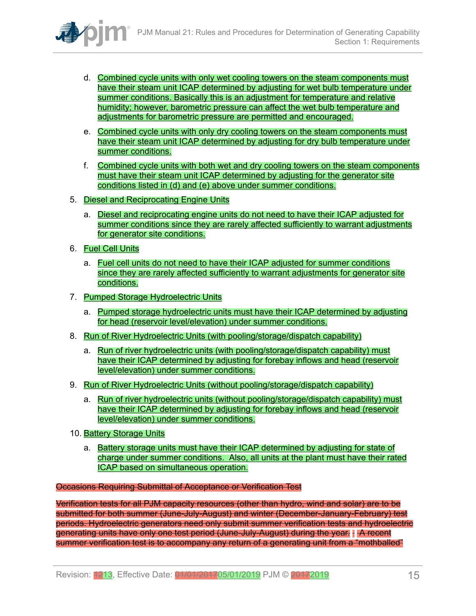

- d. Combined cycle units with only wet cooling towers on the steam components must have their steam unit ICAP determined by adjusting for wet bulb temperature under summer conditions. Basically this is an adjustment for temperature and relative humidity; however, barometric pressure can affect the wet bulb temperature and adjustments for barometric pressure are permitted and encouraged.
- e. Combined cycle units with only dry cooling towers on the steam components must have their steam unit ICAP determined by adjusting for dry bulb temperature under summer conditions.
- f. Combined cycle units with both wet and dry cooling towers on the steam components must have their steam unit ICAP determined by adjusting for the generator site conditions listed in (d) and (e) above under summer conditions.
- 5. Diesel and Reciprocating Engine Units
	- a. Diesel and reciprocating engine units do not need to have their ICAP adjusted for summer conditions since they are rarely affected sufficiently to warrant adjustments for generator site conditions.
- 6. Fuel Cell Units
	- a. Fuel cell units do not need to have their ICAP adjusted for summer conditions since they are rarely affected sufficiently to warrant adjustments for generator site conditions.
- 7. Pumped Storage Hydroelectric Units
	- a. Pumped storage hydroelectric units must have their ICAP determined by adjusting for head (reservoir level/elevation) under summer conditions.
- 8. Run of River Hydroelectric Units (with pooling/storage/dispatch capability)
	- a. Run of river hydroelectric units (with pooling/storage/dispatch capability) must have their ICAP determined by adjusting for forebay inflows and head (reservoir level/elevation) under summer conditions.
- 9. Run of River Hydroelectric Units (without pooling/storage/dispatch capability)
	- a. Run of river hydroelectric units (without pooling/storage/dispatch capability) must have their ICAP determined by adjusting for forebay inflows and head (reservoir level/elevation) under summer conditions.
- 10. Battery Storage Units
	- a. Battery storage units must have their ICAP determined by adjusting for state of charge under summer conditions. Also, all units at the plant must have their rated ICAP based on simultaneous operation.

#### Occasions Requiring Submittal of Acceptance or Verification Test

Verification tests for all PJM capacity resources (other than hydro, wind and solar) are to be submitted for both summer (June-July-August) and winter (December-January-February) test periods. Hydroelectric generators need only submit summer verification tests and hydroelectric generating units have only one test period (June-July-August) during the year. A recent summer verification test is to accompany any return of a generating unit from a "mothballed"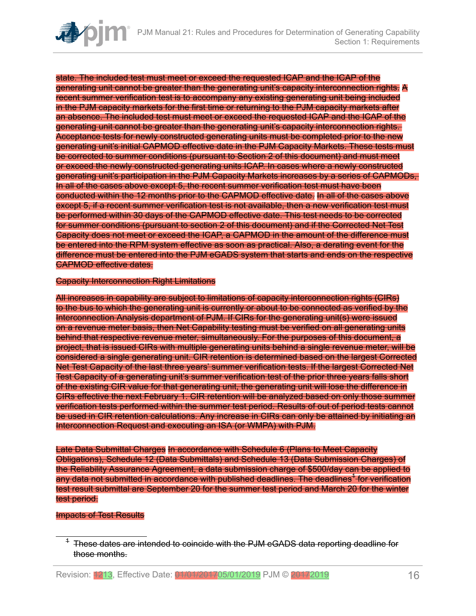state. The included test must meet or exceed the requested ICAP and the ICAP of the generating unit cannot be greater than the generating unit's capacity interconnection rights. A recent summer verification test is to accompany any existing generating unit being included in the PJM capacity markets for the first time or returning to the PJM capacity markets after an absence. The included test must meet or exceed the requested ICAP and the ICAP of the generating unit cannot be greater than the generating unit's capacity interconnection rights. Acceptance tests for newly constructed generating units must be completed prior to the new generating unit's initial CAPMOD effective date in the PJM Capacity Markets. These tests must be corrected to summer conditions (pursuant to Section 2 of this document) and must meet or exceed the newly constructed generating units ICAP. In cases where a newly constructed generating unit's participation in the PJM Capacity Markets increases by a series of CAPMODs, In all of the cases above except 5, the recent summer verification test must have been conducted within the 12 months prior to the CAPMOD effective date. In all of the cases above except 5, if a recent summer verification test is not available, then a new verification test must be performed within 30 days of the CAPMOD effective date. This test needs to be corrected for summer conditions (pursuant to section 2 of this document) and if the Corrected Net Test Capacity does not meet or exceed the ICAP, a CAPMOD in the amount of the difference must

be entered into the RPM system effective as soon as practical. Also, a derating event for the difference must be entered into the PJM eGADS system that starts and ends on the respective CAPMOD effective dates.

#### Capacity Interconnection Right Limitations

All increases in capability are subject to limitations of capacity interconnection rights (CIRs) to the bus to which the generating unit is currently or about to be connected as verified by the Interconnection Analysis department of PJM. If CIRs for the generating unit(s) were issued on a revenue meter basis, then Net Capability testing must be verified on all generating units behind that respective revenue meter, simultaneously. For the purposes of this document, a project, that is issued CIRs with multiple generating units behind a single revenue meter, will be considered a single generating unit. CIR retention is determined based on the largest Corrected Net Test Capacity of the last three years' summer verification tests. If the largest Corrected Net Test Capacity of a generating unit's summer verification test of the prior three years falls short of the existing CIR value for that generating unit, the generating unit will lose the difference in CIRs effective the next February 1. CIR retention will be analyzed based on only those summer verification tests performed within the summer test period. Results of out of period tests cannot be used in CIR retention calculations. Any increase in CIRs can only be attained by initiating an Interconnection Request and executing an ISA (or WMPA) with PJM.

Late Data Submittal Charges In accordance with Schedule 6 (Plans to Meet Capacity Obligations), Schedule 12 (Data Submittals) and Schedule 13 (Data Submission Charges) of the Reliability Assurance Agreement, a data submission charge of \$500/day can be applied to any data not submitted in accordance with published deadlines. The deadlines<sup>4</sup> for verification test result submittal are September 20 for the summer test period and March 20 for the winter test period.

Impacts of Test Results

<sup>&</sup>lt;sup>1</sup> These dates are intended to coincide with the PJM eGADS data reporting deadline for those months.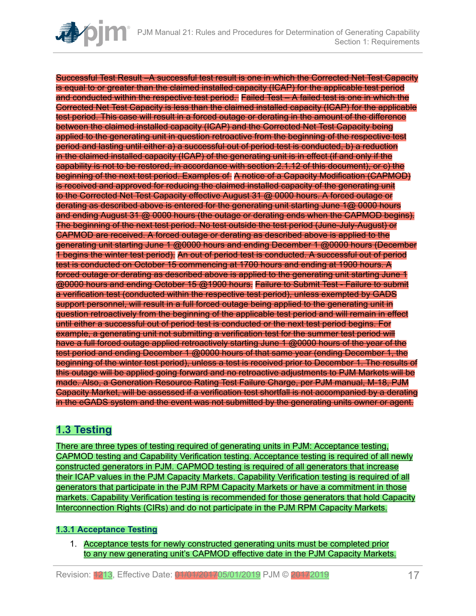

Successful Test Result –A successful test result is one in which the Corrected Net Test Capacity is equal to or greater than the claimed installed capacity (ICAP) for the applicable test period and conducted within the respective test period. Failed Test – A failed test is one in which the Corrected Net Test Capacity is less than the claimed installed capacity (ICAP) for the applicable test period. This case will result in a forced outage or derating in the amount of the difference between the claimed installed capacity (ICAP) and the Corrected Net Test Capacity being applied to the generating unit in question retroactive from the beginning of the respective test period and lasting until either a) a successful out of period test is conducted, b) a reduction in the claimed installed capacity (ICAP) of the generating unit is in effect (if and only if the capability is not to be restored, in accordance with section 2.1.12 of this document), or c) the beginning of the next test period. Examples of A notice of a Capacity Modification (CAPMOD) is received and approved for reducing the claimed installed capacity of the generating unit to the Corrected Net Test Capacity effective August 31 @ 0000 hours. A forced outage or derating as described above is entered for the generating unit starting June 1@ 0000 hours and ending August 31 @ 0000 hours (the outage or derating ends when the CAPMOD begins). The beginning of the next test period. No test outside the test period (June-July-August) or CAPMOD are received. A forced outage or derating as described above is applied to the generating unit starting June 1 @0000 hours and ending December 1 @0000 hours (December 1 begins the winter test period). An out of period test is conducted. A successful out of period test is conducted on October 15 commencing at 1700 hours and ending at 1900 hours. A forced outage or derating as described above is applied to the generating unit starting June 1 @0000 hours and ending October 15 @1900 hours. Failure to Submit Test - Failure to submit a verification test (conducted within the respective test period), unless exempted by GADS support personnel, will result in a full forced outage being applied to the generating unit in question retroactively from the beginning of the applicable test period and will remain in effect until either a successful out of period test is conducted or the next test period begins. For example, a generating unit not submitting a verification test for the summer test period will have a full forced outage applied retroactively starting June 1 @0000 hours of the year of the test period and ending December 1 @0000 hours of that same year (ending December 1, the beginning of the winter test period), unless a test is received prior to December 1. The results of this outage will be applied going forward and no retroactive adjustments to PJM Markets will be made. Also, a Generation Resource Rating Test Failure Charge, per PJM manual, M-18, PJM Capacity Market, will be assessed if a verification test shortfall is not accompanied by a derating in the eGADS system and the event was not submitted by the generating units owner or agent.

# <span id="page-16-0"></span>**1.3 Testing**

There are three types of testing required of generating units in PJM: Acceptance testing, CAPMOD testing and Capability Verification testing. Acceptance testing is required of all newly constructed generators in PJM. CAPMOD testing is required of all generators that increase their ICAP values in the PJM Capacity Markets. Capability Verification testing is required of all generators that participate in the PJM RPM Capacity Markets or have a commitment in those markets. Capability Verification testing is recommended for those generators that hold Capacity Interconnection Rights (CIRs) and do not participate in the PJM RPM Capacity Markets.

### <span id="page-16-1"></span>**1.3.1 Acceptance Testing**

1. Acceptance tests for newly constructed generating units must be completed prior to any new generating unit's CAPMOD effective date in the PJM Capacity Markets.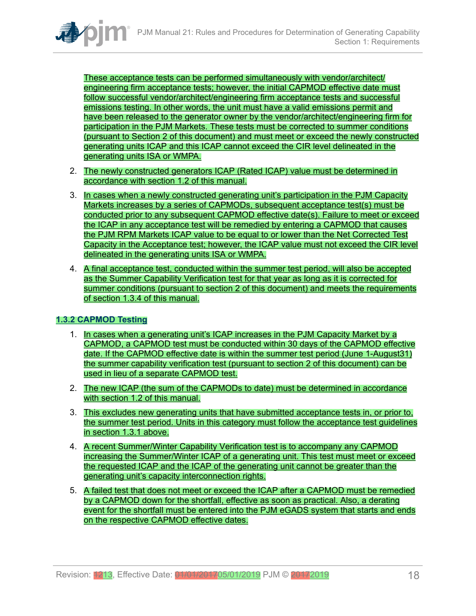

These acceptance tests can be performed simultaneously with vendor/architect/ engineering firm acceptance tests; however, the initial CAPMOD effective date must follow successful vendor/architect/engineering firm acceptance tests and successful emissions testing. In other words, the unit must have a valid emissions permit and have been released to the generator owner by the vendor/architect/engineering firm for participation in the PJM Markets. These tests must be corrected to summer conditions (pursuant to Section 2 of this document) and must meet or exceed the newly constructed generating units ICAP and this ICAP cannot exceed the CIR level delineated in the generating units ISA or WMPA.

- 2. The newly constructed generators ICAP (Rated ICAP) value must be determined in accordance with section 1.2 of this manual.
- 3. In cases when a newly constructed generating unit's participation in the PJM Capacity Markets increases by a series of CAPMODs, subsequent acceptance test(s) must be conducted prior to any subsequent CAPMOD effective date(s). Failure to meet or exceed the ICAP in any acceptance test will be remedied by entering a CAPMOD that causes the PJM RPM Markets ICAP value to be equal to or lower than the Net Corrected Test Capacity in the Acceptance test; however, the ICAP value must not exceed the CIR level delineated in the generating units ISA or WMPA.
- 4. A final acceptance test, conducted within the summer test period, will also be accepted as the Summer Capability Verification test for that year as long as it is corrected for summer conditions (pursuant to section 2 of this document) and meets the requirements of section 1.3.4 of this manual.

### <span id="page-17-0"></span>**1.3.2 CAPMOD Testing**

- 1. In cases when a generating unit's ICAP increases in the PJM Capacity Market by a CAPMOD, a CAPMOD test must be conducted within 30 days of the CAPMOD effective date. If the CAPMOD effective date is within the summer test period (June 1-August31) the summer capability verification test (pursuant to section 2 of this document) can be used in lieu of a separate CAPMOD test.
- 2. The new ICAP (the sum of the CAPMODs to date) must be determined in accordance with section 1.2 of this manual.
- 3. This excludes new generating units that have submitted acceptance tests in, or prior to, the summer test period. Units in this category must follow the acceptance test guidelines in section 1.3.1 above.
- 4. A recent Summer/Winter Capability Verification test is to accompany any CAPMOD increasing the Summer/Winter ICAP of a generating unit. This test must meet or exceed the requested ICAP and the ICAP of the generating unit cannot be greater than the generating unit's capacity interconnection rights.
- 5. A failed test that does not meet or exceed the ICAP after a CAPMOD must be remedied by a CAPMOD down for the shortfall, effective as soon as practical. Also, a derating event for the shortfall must be entered into the PJM eGADS system that starts and ends on the respective CAPMOD effective dates.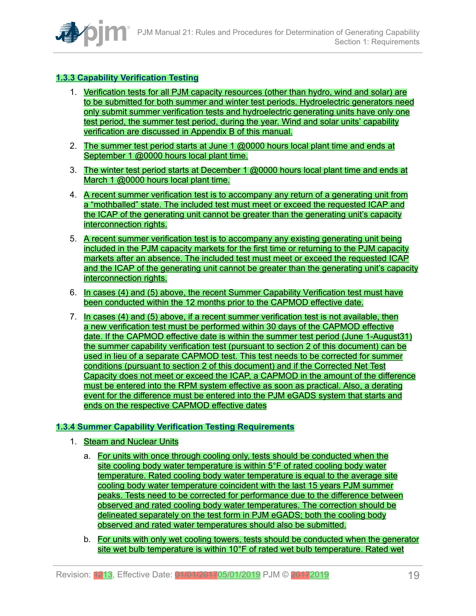

### <span id="page-18-0"></span>**1.3.3 Capability Verification Testing**

- 1. Verification tests for all PJM capacity resources (other than hydro, wind and solar) are to be submitted for both summer and winter test periods. Hydroelectric generators need only submit summer verification tests and hydroelectric generating units have only one test period, the summer test period, during the year. Wind and solar units' capability verification are discussed in Appendix B of this manual.
- 2. The summer test period starts at June 1 @0000 hours local plant time and ends at September 1 @0000 hours local plant time.
- 3. The winter test period starts at December 1 @0000 hours local plant time and ends at March 1 @0000 hours local plant time.
- 4. A recent summer verification test is to accompany any return of a generating unit from a "mothballed" state. The included test must meet or exceed the requested ICAP and the ICAP of the generating unit cannot be greater than the generating unit's capacity interconnection rights.
- 5. A recent summer verification test is to accompany any existing generating unit being included in the PJM capacity markets for the first time or returning to the PJM capacity markets after an absence. The included test must meet or exceed the requested ICAP and the ICAP of the generating unit cannot be greater than the generating unit's capacity interconnection rights.
- 6. In cases (4) and (5) above, the recent Summer Capability Verification test must have been conducted within the 12 months prior to the CAPMOD effective date.
- 7. In cases (4) and (5) above, if a recent summer verification test is not available, then a new verification test must be performed within 30 days of the CAPMOD effective date. If the CAPMOD effective date is within the summer test period (June 1-August31) the summer capability verification test (pursuant to section 2 of this document) can be used in lieu of a separate CAPMOD test. This test needs to be corrected for summer conditions (pursuant to section 2 of this document) and if the Corrected Net Test Capacity does not meet or exceed the ICAP, a CAPMOD in the amount of the difference must be entered into the RPM system effective as soon as practical. Also, a derating event for the difference must be entered into the PJM eGADS system that starts and ends on the respective CAPMOD effective dates

#### <span id="page-18-1"></span>**1.3.4 Summer Capability Verification Testing Requirements**

- 1. Steam and Nuclear Units
	- a. For units with once through cooling only, tests should be conducted when the site cooling body water temperature is within 5°F of rated cooling body water temperature. Rated cooling body water temperature is equal to the average site cooling body water temperature coincident with the last 15 years PJM summer peaks. Tests need to be corrected for performance due to the difference between observed and rated cooling body water temperatures. The correction should be delineated separately on the test form in PJM eGADS; both the cooling body observed and rated water temperatures should also be submitted.
	- b. For units with only wet cooling towers, tests should be conducted when the generator site wet bulb temperature is within 10°F of rated wet bulb temperature. Rated wet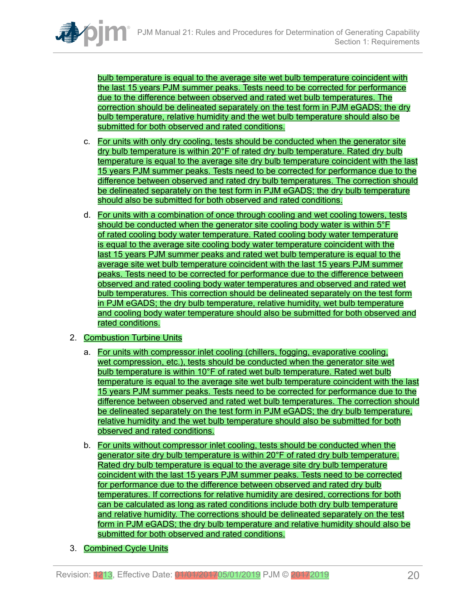

bulb temperature is equal to the average site wet bulb temperature coincident with the last 15 years PJM summer peaks. Tests need to be corrected for performance due to the difference between observed and rated wet bulb temperatures. The correction should be delineated separately on the test form in PJM eGADS; the dry bulb temperature, relative humidity and the wet bulb temperature should also be submitted for both observed and rated conditions.

- c. For units with only dry cooling, tests should be conducted when the generator site dry bulb temperature is within 20°F of rated dry bulb temperature. Rated dry bulb temperature is equal to the average site dry bulb temperature coincident with the last 15 years PJM summer peaks. Tests need to be corrected for performance due to the difference between observed and rated dry bulb temperatures. The correction should be delineated separately on the test form in PJM eGADS; the dry bulb temperature should also be submitted for both observed and rated conditions.
- d. For units with a combination of once through cooling and wet cooling towers, tests should be conducted when the generator site cooling body water is within 5°F of rated cooling body water temperature. Rated cooling body water temperature is equal to the average site cooling body water temperature coincident with the last 15 years PJM summer peaks and rated wet bulb temperature is equal to the average site wet bulb temperature coincident with the last 15 years PJM summer peaks. Tests need to be corrected for performance due to the difference between observed and rated cooling body water temperatures and observed and rated wet bulb temperatures. This correction should be delineated separately on the test form in PJM eGADS; the dry bulb temperature, relative humidity, wet bulb temperature and cooling body water temperature should also be submitted for both observed and rated conditions.
- 2. Combustion Turbine Units
	- a. For units with compressor inlet cooling (chillers, fogging, evaporative cooling, wet compression, etc.), tests should be conducted when the generator site wet bulb temperature is within 10°F of rated wet bulb temperature. Rated wet bulb temperature is equal to the average site wet bulb temperature coincident with the last 15 years PJM summer peaks. Tests need to be corrected for performance due to the difference between observed and rated wet bulb temperatures. The correction should be delineated separately on the test form in PJM eGADS; the dry bulb temperature, relative humidity and the wet bulb temperature should also be submitted for both observed and rated conditions.
	- b. For units without compressor inlet cooling, tests should be conducted when the generator site dry bulb temperature is within 20°F of rated dry bulb temperature. Rated dry bulb temperature is equal to the average site dry bulb temperature coincident with the last 15 years PJM summer peaks. Tests need to be corrected for performance due to the difference between observed and rated dry bulb temperatures. If corrections for relative humidity are desired, corrections for both can be calculated as long as rated conditions include both dry bulb temperature and relative humidity. The corrections should be delineated separately on the test form in PJM eGADS; the dry bulb temperature and relative humidity should also be submitted for both observed and rated conditions.
- 3. Combined Cycle Units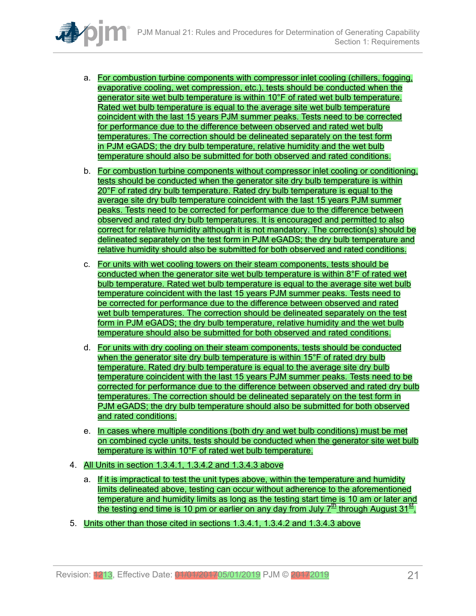

- a. For combustion turbine components with compressor inlet cooling (chillers, fogging, evaporative cooling, wet compression, etc.), tests should be conducted when the generator site wet bulb temperature is within 10°F of rated wet bulb temperature. Rated wet bulb temperature is equal to the average site wet bulb temperature coincident with the last 15 years PJM summer peaks. Tests need to be corrected for performance due to the difference between observed and rated wet bulb temperatures. The correction should be delineated separately on the test form in PJM eGADS; the dry bulb temperature, relative humidity and the wet bulb temperature should also be submitted for both observed and rated conditions.
- b. For combustion turbine components without compressor inlet cooling or conditioning, tests should be conducted when the generator site dry bulb temperature is within 20°F of rated dry bulb temperature. Rated dry bulb temperature is equal to the average site dry bulb temperature coincident with the last 15 years PJM summer peaks. Tests need to be corrected for performance due to the difference between observed and rated dry bulb temperatures. It is encouraged and permitted to also correct for relative humidity although it is not mandatory. The correction(s) should be delineated separately on the test form in PJM eGADS; the dry bulb temperature and relative humidity should also be submitted for both observed and rated conditions.
- c. For units with wet cooling towers on their steam components, tests should be conducted when the generator site wet bulb temperature is within 8°F of rated wet bulb temperature. Rated wet bulb temperature is equal to the average site wet bulb temperature coincident with the last 15 years PJM summer peaks. Tests need to be corrected for performance due to the difference between observed and rated wet bulb temperatures. The correction should be delineated separately on the test form in PJM eGADS; the dry bulb temperature, relative humidity and the wet bulb temperature should also be submitted for both observed and rated conditions.
- d. For units with dry cooling on their steam components, tests should be conducted when the generator site dry bulb temperature is within 15°F of rated dry bulb temperature. Rated dry bulb temperature is equal to the average site dry bulb temperature coincident with the last 15 years PJM summer peaks. Tests need to be corrected for performance due to the difference between observed and rated dry bulb temperatures. The correction should be delineated separately on the test form in PJM eGADS; the dry bulb temperature should also be submitted for both observed and rated conditions.
- e. In cases where multiple conditions (both dry and wet bulb conditions) must be met on combined cycle units, tests should be conducted when the generator site wet bulb temperature is within 10°F of rated wet bulb temperature.
- 4. All Units in section 1.3.4.1, 1.3.4.2 and 1.3.4.3 above
	- a. If it is impractical to test the unit types above, within the temperature and humidity limits delineated above, testing can occur without adherence to the aforementioned temperature and humidity limits as long as the testing start time is 10 am or later and the testing end time is 10 pm or earlier on any day from July  $7<sup>th</sup>$  through August 31<sup>st</sup>.
- 5. Units other than those cited in sections 1.3.4.1, 1.3.4.2 and 1.3.4.3 above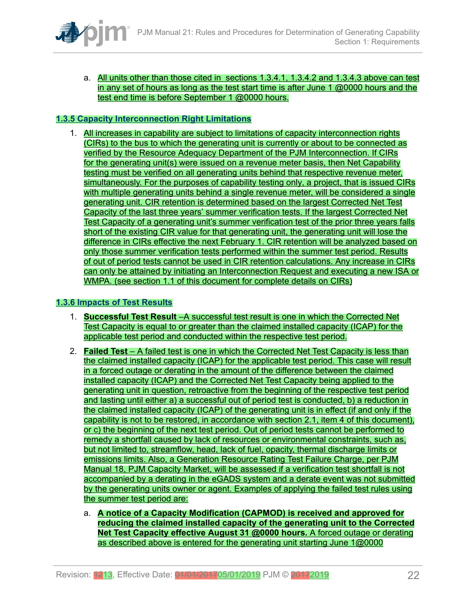

a. All units other than those cited in sections 1.3.4.1, 1.3.4.2 and 1.3.4.3 above can test in any set of hours as long as the test start time is after June 1 @0000 hours and the test end time is before September 1 @0000 hours.

### <span id="page-21-0"></span>**1.3.5 Capacity Interconnection Right Limitations**

1. All increases in capability are subject to limitations of capacity interconnection rights (CIRs) to the bus to which the generating unit is currently or about to be connected as verified by the Resource Adequacy Department of the PJM Interconnection. If CIRs for the generating unit(s) were issued on a revenue meter basis, then Net Capability testing must be verified on all generating units behind that respective revenue meter, simultaneously. For the purposes of capability testing only, a project, that is issued CIRs with multiple generating units behind a single revenue meter, will be considered a single generating unit. CIR retention is determined based on the largest Corrected Net Test Capacity of the last three years' summer verification tests. If the largest Corrected Net Test Capacity of a generating unit's summer verification test of the prior three years falls short of the existing CIR value for that generating unit, the generating unit will lose the difference in CIRs effective the next February 1. CIR retention will be analyzed based on only those summer verification tests performed within the summer test period. Results of out of period tests cannot be used in CIR retention calculations. Any increase in CIRs can only be attained by initiating an Interconnection Request and executing a new ISA or WMPA. (see section 1.1 of this document for complete details on CIRs)

#### <span id="page-21-1"></span>**1.3.6 Impacts of Test Results**

- 1. **Successful Test Result** –A successful test result is one in which the Corrected Net Test Capacity is equal to or greater than the claimed installed capacity (ICAP) for the applicable test period and conducted within the respective test period.
- 2. **Failed Test** A failed test is one in which the Corrected Net Test Capacity is less than the claimed installed capacity (ICAP) for the applicable test period. This case will result in a forced outage or derating in the amount of the difference between the claimed installed capacity (ICAP) and the Corrected Net Test Capacity being applied to the generating unit in question, retroactive from the beginning of the respective test period and lasting until either a) a successful out of period test is conducted, b) a reduction in the claimed installed capacity (ICAP) of the generating unit is in effect (if and only if the capability is not to be restored, in accordance with section 2.1, item 4 of this document), or c) the beginning of the next test period. Out of period tests cannot be performed to remedy a shortfall caused by lack of resources or environmental constraints, such as, but not limited to, streamflow, head, lack of fuel, opacity, thermal discharge limits or emissions limits. Also, a Generation Resource Rating Test Failure Charge, per PJM Manual 18, PJM Capacity Market, will be assessed if a verification test shortfall is not accompanied by a derating in the eGADS system and a derate event was not submitted by the generating units owner or agent. Examples of applying the failed test rules using the summer test period are:
	- a. **A notice of a Capacity Modification (CAPMOD) is received and approved for reducing the claimed installed capacity of the generating unit to the Corrected Net Test Capacity effective August 31 @0000 hours.** A forced outage or derating as described above is entered for the generating unit starting June 1@0000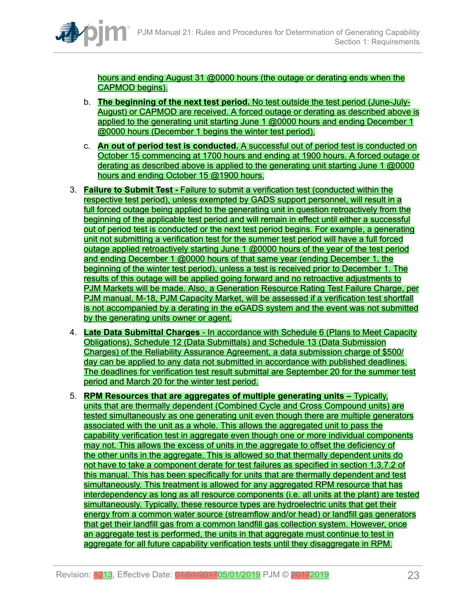hours and ending August 31 @0000 hours (the outage or derating ends when the CAPMOD begins).

- b. **The beginning of the next test period.** No test outside the test period (June-July-August) or CAPMOD are received. A forced outage or derating as described above is applied to the generating unit starting June 1 @0000 hours and ending December 1 @0000 hours (December 1 begins the winter test period).
- c. **An out of period test is conducted.** A successful out of period test is conducted on October 15 commencing at 1700 hours and ending at 1900 hours. A forced outage or derating as described above is applied to the generating unit starting June 1 @0000 hours and ending October 15 @1900 hours.
- 3. **Failure to Submit Test -** Failure to submit a verification test (conducted within the respective test period), unless exempted by GADS support personnel, will result in a full forced outage being applied to the generating unit in question retroactively from the beginning of the applicable test period and will remain in effect until either a successful out of period test is conducted or the next test period begins. For example, a generating unit not submitting a verification test for the summer test period will have a full forced outage applied retroactively starting June 1 @0000 hours of the year of the test period and ending December 1 @0000 hours of that same year (ending December 1, the beginning of the winter test period), unless a test is received prior to December 1. The results of this outage will be applied going forward and no retroactive adjustments to PJM Markets will be made. Also, a Generation Resource Rating Test Failure Charge, per PJM manual, M-18, PJM Capacity Market, will be assessed if a verification test shortfall is not accompanied by a derating in the eGADS system and the event was not submitted by the generating units owner or agent.
- 4. **Late Data Submittal Charges** In accordance with Schedule 6 (Plans to Meet Capacity Obligations), Schedule 12 (Data Submittals) and Schedule 13 (Data Submission Charges) of the Reliability Assurance Agreement, a data submission charge of \$500/ day can be applied to any data not submitted in accordance with published deadlines. The deadlines for verification test result submittal are September 20 for the summer test period and March 20 for the winter test period.
- 5. **RPM Resources that are aggregates of multiple generating units –** Typically, units that are thermally dependent (Combined Cycle and Cross Compound units) are tested simultaneously as one generating unit even though there are multiple generators associated with the unit as a whole. This allows the aggregated unit to pass the capability verification test in aggregate even though one or more individual components may not. This allows the excess of units in the aggregate to offset the deficiency of the other units in the aggregate. This is allowed so that thermally dependent units do not have to take a component derate for test failures as specified in section 1.3.7.2 of this manual. This has been specifically for units that are thermally dependent and test simultaneously. This treatment is allowed for any aggregated RPM resource that has interdependency as long as all resource components (i.e. all units at the plant) are tested simultaneously. Typically, these resource types are hydroelectric units that get their energy from a common water source (streamflow and/or head) or landfill gas generators that get their landfill gas from a common landfill gas collection system. However, once an aggregate test is performed, the units in that aggregate must continue to test in aggregate for all future capability verification tests until they disaggregate in RPM.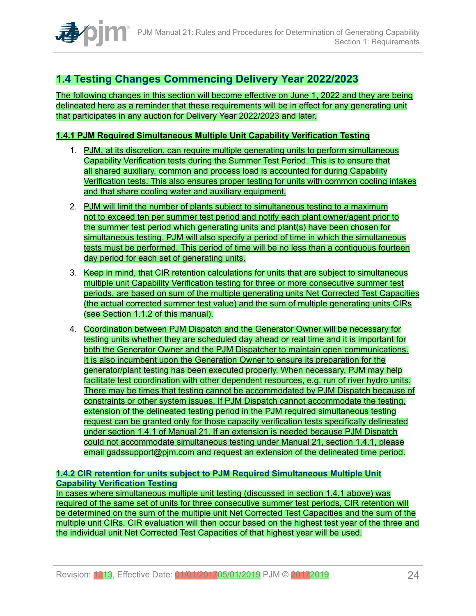

# <span id="page-23-0"></span>**1.4 Testing Changes Commencing Delivery Year 2022/2023**

The following changes in this section will become effective on June 1, 2022 and they are being delineated here as a reminder that these requirements will be in effect for any generating unit that participates in any auction for Delivery Year 2022/2023 and later.

#### **1.4.1 PJM Required Simultaneous Multiple Unit Capability Verification Testing**

- 1. PJM, at its discretion, can require multiple generating units to perform simultaneous Capability Verification tests during the Summer Test Period. This is to ensure that all shared auxiliary, common and process load is accounted for during Capability Verification tests. This also ensures proper testing for units with common cooling intakes and that share cooling water and auxiliary equipment.
- 2. PJM will limit the number of plants subject to simultaneous testing to a maximum not to exceed ten per summer test period and notify each plant owner/agent prior to the summer test period which generating units and plant(s) have been chosen for simultaneous testing. PJM will also specify a period of time in which the simultaneous tests must be performed. This period of time will be no less than a contiguous fourteen day period for each set of generating units.
- 3. Keep in mind, that CIR retention calculations for units that are subject to simultaneous multiple unit Capability Verification testing for three or more consecutive summer test periods, are based on sum of the multiple generating units Net Corrected Test Capacities (the actual corrected summer test value) and the sum of multiple generating units CIRs (see Section 1.1.2 of this manual).
- 4. Coordination between PJM Dispatch and the Generator Owner will be necessary for testing units whether they are scheduled day ahead or real time and it is important for both the Generator Owner and the PJM Dispatcher to maintain open communications. It is also incumbent upon the Generation Owner to ensure its preparation for the generator/plant testing has been executed properly. When necessary, PJM may help facilitate test coordination with other dependent resources, e.g. run of river hydro units. There may be times that testing cannot be accommodated by PJM Dispatch because of constraints or other system issues. If PJM Dispatch cannot accommodate the testing, extension of the delineated testing period in the PJM required simultaneous testing request can be granted only for those capacity verification tests specifically delineated under section 1.4.1 of Manual 21. If an extension is needed because PJM Dispatch could not accommodate simultaneous testing under Manual 21, section 1.4.1, please email gadssupport@pjm.com and request an extension of the delineated time period.

### <span id="page-23-1"></span>**1.4.2 CIR retention for units subject to PJM Required Simultaneous Multiple Unit Capability Verification Testing**

In cases where simultaneous multiple unit testing (discussed in section 1.4.1 above) was required of the same set of units for three consecutive summer test periods, CIR retention will be determined on the sum of the multiple unit Net Corrected Test Capacities and the sum of the multiple unit CIRs. CIR evaluation will then occur based on the highest test year of the three and the individual unit Net Corrected Test Capacities of that highest year will be used.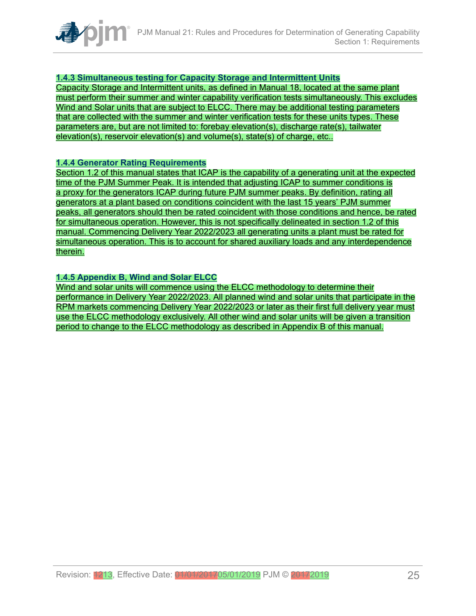

<span id="page-24-0"></span>**1.4.3 Simultaneous testing for Capacity Storage and Intermittent Units** Capacity Storage and Intermittent units, as defined in Manual 18, located at the same plant must perform their summer and winter capability verification tests simultaneously. This excludes Wind and Solar units that are subject to ELCC. There may be additional testing parameters that are collected with the summer and winter verification tests for these units types. These parameters are, but are not limited to: forebay elevation(s), discharge rate(s), tailwater elevation(s), reservoir elevation(s) and volume(s), state(s) of charge, etc..

#### <span id="page-24-1"></span>**1.4.4 Generator Rating Requirements**

Section 1.2 of this manual states that ICAP is the capability of a generating unit at the expected time of the PJM Summer Peak. It is intended that adjusting ICAP to summer conditions is a proxy for the generators ICAP during future PJM summer peaks. By definition, rating all generators at a plant based on conditions coincident with the last 15 years' PJM summer peaks, all generators should then be rated coincident with those conditions and hence, be rated for simultaneous operation. However, this is not specifically delineated in section 1.2 of this manual. Commencing Delivery Year 2022/2023 all generating units a plant must be rated for simultaneous operation. This is to account for shared auxiliary loads and any interdependence therein.

#### <span id="page-24-2"></span>**1.4.5 Appendix B, Wind and Solar ELCC**

Wind and solar units will commence using the ELCC methodology to determine their performance in Delivery Year 2022/2023. All planned wind and solar units that participate in the RPM markets commencing Delivery Year 2022/2023 or later as their first full delivery year must use the ELCC methodology exclusively. All other wind and solar units will be given a transition period to change to the ELCC methodology as described in Appendix B of this manual.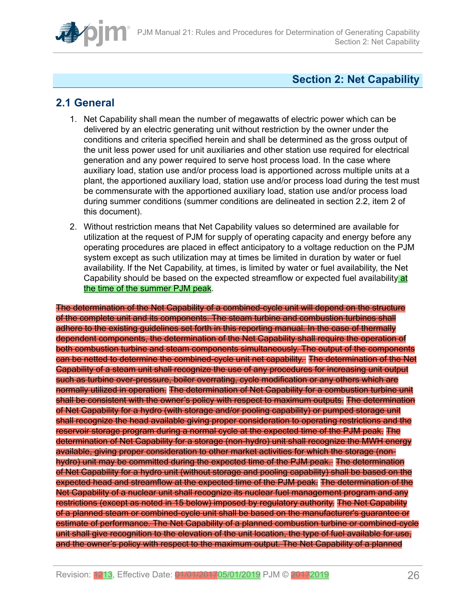

# <span id="page-25-0"></span>**Section 2: Net Capability**

# <span id="page-25-1"></span>**2.1 General**

- 1. Net Capability shall mean the number of megawatts of electric power which can be delivered by an electric generating unit without restriction by the owner under the conditions and criteria specified herein and shall be determined as the gross output of the unit less power used for unit auxiliaries and other station use required for electrical generation and any power required to serve host process load. In the case where auxiliary load, station use and/or process load is apportioned across multiple units at a plant, the apportioned auxiliary load, station use and/or process load during the test must be commensurate with the apportioned auxiliary load, station use and/or process load during summer conditions (summer conditions are delineated in section 2.2, item 2 of this document).
- 2. Without restriction means that Net Capability values so determined are available for utilization at the request of PJM for supply of operating capacity and energy before any operating procedures are placed in effect anticipatory to a voltage reduction on the PJM system except as such utilization may at times be limited in duration by water or fuel availability. If the Net Capability, at times, is limited by water or fuel availability, the Net Capability should be based on the expected streamflow or expected fuel availability at the time of the summer PJM peak.

The determination of the Net Capability of a combined-cycle unit will depend on the structure of the complete unit and its components. The steam turbine and combustion turbines shall adhere to the existing guidelines set forth in this reporting manual. In the case of thermally dependent components, the determination of the Net Capability shall require the operation of both combustion turbine and steam components simultaneously. The output of the components can be netted to determine the combined-cycle unit net capability. The determination of the Net Capability of a steam unit shall recognize the use of any procedures for increasing unit output such as turbine over-pressure, boiler overrating, cycle modification or any others which are normally utilized in operation. The determination of Net Capability for a combustion turbine unit shall be consistent with the owner's policy with respect to maximum outputs. The determination of Net Capability for a hydro (with storage and/or pooling capability) or pumped storage unit shall recognize the head available giving proper consideration to operating restrictions and the reservoir storage program during a normal cycle at the expected time of the PJM peak. The determination of Net Capability for a storage (non-hydro) unit shall recognize the MWH energy available, giving proper consideration to other market activities for which the storage (nonhydro) unit may be committed during the expected time of the PJM peak. The determination of Net Capability for a hydro unit (without storage and pooling capability) shall be based on the expected head and streamflow at the expected time of the PJM peak. The determination of the Net Capability of a nuclear unit shall recognize its nuclear fuel management program and any restrictions (except as noted in 15 below) imposed by regulatory authority. The Net Capability of a planned steam or combined-cycle unit shall be based on the manufacturer's guarantee or estimate of performance. The Net Capability of a planned combustion turbine or combined-cycle unit shall give recognition to the elevation of the unit location, the type of fuel available for use, and the owner's policy with respect to the maximum output. The Net Capability of a planned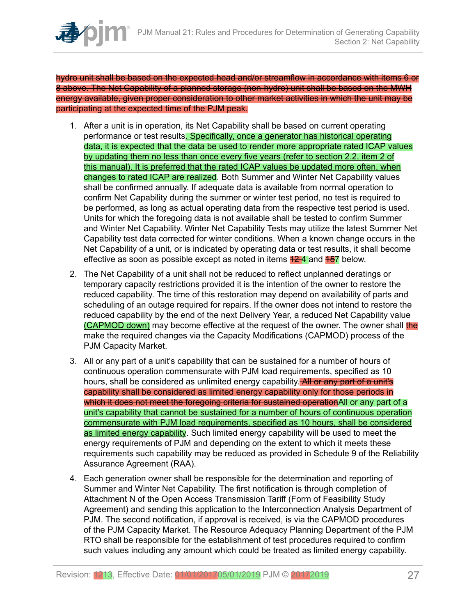

hydro unit shall be based on the expected head and/or streamflow in accordance with items 6 or 8 above. The Net Capability of a planned storage (non-hydro) unit shall be based on the MWH energy available, given proper consideration to other market activities in which the unit may be participating at the expected time of the PJM peak.

- 1. After a unit is in operation, its Net Capability shall be based on current operating performance or test results. Specifically, once a generator has historical operating data, it is expected that the data be used to render more appropriate rated ICAP values by updating them no less than once every five years (refer to section 2.2, item 2 of this manual). It is preferred that the rated ICAP values be updated more often, when changes to rated ICAP are realized. Both Summer and Winter Net Capability values shall be confirmed annually. If adequate data is available from normal operation to confirm Net Capability during the summer or winter test period, no test is required to be performed, as long as actual operating data from the respective test period is used. Units for which the foregoing data is not available shall be tested to confirm Summer and Winter Net Capability. Winter Net Capability Tests may utilize the latest Summer Net Capability test data corrected for winter conditions. When a known change occurs in the Net Capability of a unit, or is indicated by operating data or test results, it shall become effective as soon as possible except as noted in items  $12-4$  and  $157$  below.
- 2. The Net Capability of a unit shall not be reduced to reflect unplanned deratings or temporary capacity restrictions provided it is the intention of the owner to restore the reduced capability. The time of this restoration may depend on availability of parts and scheduling of an outage required for repairs. If the owner does not intend to restore the reduced capability by the end of the next Delivery Year, a reduced Net Capability value (CAPMOD down) may become effective at the request of the owner. The owner shall the make the required changes via the Capacity Modifications (CAPMOD) process of the PJM Capacity Market.
- 3. All or any part of a unit's capability that can be sustained for a number of hours of continuous operation commensurate with PJM load requirements, specified as 10 hours, shall be considered as unlimited energy capability. All or any part of a unit's capability shall be considered as limited energy capability only for those periods in which it does not meet the foregoing criteria for sustained operationAll or any part of a unit's capability that cannot be sustained for a number of hours of continuous operation commensurate with PJM load requirements, specified as 10 hours, shall be considered as limited energy capability. Such limited energy capability will be used to meet the energy requirements of PJM and depending on the extent to which it meets these requirements such capability may be reduced as provided in Schedule 9 of the Reliability Assurance Agreement (RAA).
- 4. Each generation owner shall be responsible for the determination and reporting of Summer and Winter Net Capability. The first notification is through completion of Attachment N of the Open Access Transmission Tariff (Form of Feasibility Study Agreement) and sending this application to the Interconnection Analysis Department of PJM. The second notification, if approval is received, is via the CAPMOD procedures of the PJM Capacity Market. The Resource Adequacy Planning Department of the PJM RTO shall be responsible for the establishment of test procedures required to confirm such values including any amount which could be treated as limited energy capability.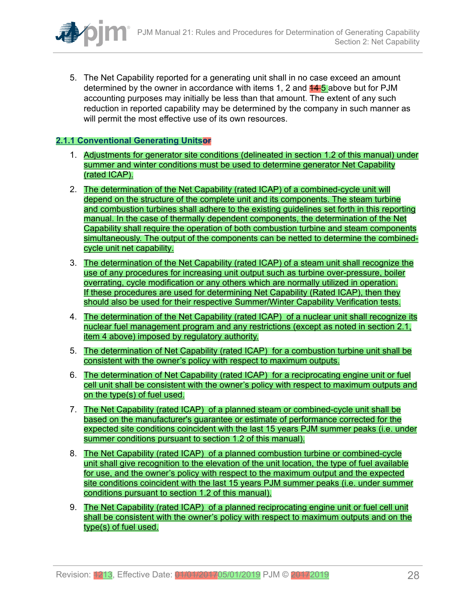

5. The Net Capability reported for a generating unit shall in no case exceed an amount determined by the owner in accordance with items 1, 2 and  $\frac{14}{14}$  5 above but for PJM accounting purposes may initially be less than that amount. The extent of any such reduction in reported capability may be determined by the company in such manner as will permit the most effective use of its own resources.

#### <span id="page-27-0"></span>**2.1.1 Conventional Generating Unitsor**

- 1. Adjustments for generator site conditions (delineated in section 1.2 of this manual) under summer and winter conditions must be used to determine generator Net Capability (rated ICAP).
- 2. The determination of the Net Capability (rated ICAP) of a combined-cycle unit will depend on the structure of the complete unit and its components. The steam turbine and combustion turbines shall adhere to the existing guidelines set forth in this reporting manual. In the case of thermally dependent components, the determination of the Net Capability shall require the operation of both combustion turbine and steam components simultaneously. The output of the components can be netted to determine the combinedcycle unit net capability.
- 3. The determination of the Net Capability (rated ICAP) of a steam unit shall recognize the use of any procedures for increasing unit output such as turbine over-pressure, boiler overrating, cycle modification or any others which are normally utilized in operation. If these procedures are used for determining Net Capability (Rated ICAP), then they should also be used for their respective Summer/Winter Capability Verification tests.
- 4. The determination of the Net Capability (rated ICAP) of a nuclear unit shall recognize its nuclear fuel management program and any restrictions (except as noted in section 2.1, item 4 above) imposed by regulatory authority.
- 5. The determination of Net Capability (rated ICAP) for a combustion turbine unit shall be consistent with the owner's policy with respect to maximum outputs.
- 6. The determination of Net Capability (rated ICAP) for a reciprocating engine unit or fuel cell unit shall be consistent with the owner's policy with respect to maximum outputs and on the type(s) of fuel used.
- 7. The Net Capability (rated ICAP) of a planned steam or combined-cycle unit shall be based on the manufacturer's guarantee or estimate of performance corrected for the expected site conditions coincident with the last 15 years PJM summer peaks (i.e. under summer conditions pursuant to section 1.2 of this manual).
- 8. The Net Capability (rated ICAP) of a planned combustion turbine or combined-cycle unit shall give recognition to the elevation of the unit location, the type of fuel available for use, and the owner's policy with respect to the maximum output and the expected site conditions coincident with the last 15 years PJM summer peaks (i.e. under summer conditions pursuant to section 1.2 of this manual).
- 9. The Net Capability (rated ICAP) of a planned reciprocating engine unit or fuel cell unit shall be consistent with the owner's policy with respect to maximum outputs and on the type(s) of fuel used.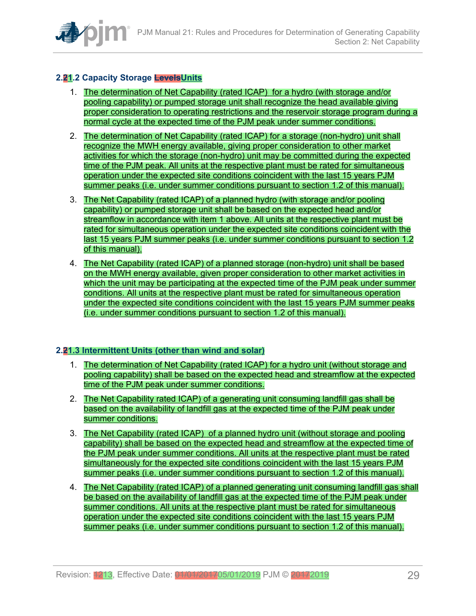

### <span id="page-28-0"></span>**2.21.2 Capacity Storage LevelsUnits**

- 1. The determination of Net Capability (rated ICAP) for a hydro (with storage and/or pooling capability) or pumped storage unit shall recognize the head available giving proper consideration to operating restrictions and the reservoir storage program during a normal cycle at the expected time of the PJM peak under summer conditions.
- 2. The determination of Net Capability (rated ICAP) for a storage (non-hydro) unit shall recognize the MWH energy available, giving proper consideration to other market activities for which the storage (non-hydro) unit may be committed during the expected time of the PJM peak. All units at the respective plant must be rated for simultaneous operation under the expected site conditions coincident with the last 15 years PJM summer peaks (i.e. under summer conditions pursuant to section 1.2 of this manual).
- 3. The Net Capability (rated ICAP) of a planned hydro (with storage and/or pooling capability) or pumped storage unit shall be based on the expected head and/or streamflow in accordance with item 1 above. All units at the respective plant must be rated for simultaneous operation under the expected site conditions coincident with the last 15 years PJM summer peaks (i.e. under summer conditions pursuant to section 1.2 of this manual).
- 4. The Net Capability (rated ICAP) of a planned storage (non-hydro) unit shall be based on the MWH energy available, given proper consideration to other market activities in which the unit may be participating at the expected time of the PJM peak under summer conditions. All units at the respective plant must be rated for simultaneous operation under the expected site conditions coincident with the last 15 years PJM summer peaks (i.e. under summer conditions pursuant to section 1.2 of this manual).

### <span id="page-28-1"></span>**2.21.3 Intermittent Units (other than wind and solar)**

- 1. The determination of Net Capability (rated ICAP) for a hydro unit (without storage and pooling capability) shall be based on the expected head and streamflow at the expected time of the PJM peak under summer conditions.
- 2. The Net Capability rated ICAP) of a generating unit consuming landfill gas shall be based on the availability of landfill gas at the expected time of the PJM peak under summer conditions.
- 3. The Net Capability (rated ICAP) of a planned hydro unit (without storage and pooling capability) shall be based on the expected head and streamflow at the expected time of the PJM peak under summer conditions. All units at the respective plant must be rated simultaneously for the expected site conditions coincident with the last 15 years PJM summer peaks (i.e. under summer conditions pursuant to section 1.2 of this manual).
- 4. The Net Capability (rated ICAP) of a planned generating unit consuming landfill gas shall be based on the availability of landfill gas at the expected time of the PJM peak under summer conditions. All units at the respective plant must be rated for simultaneous operation under the expected site conditions coincident with the last 15 years PJM summer peaks (i.e. under summer conditions pursuant to section 1.2 of this manual).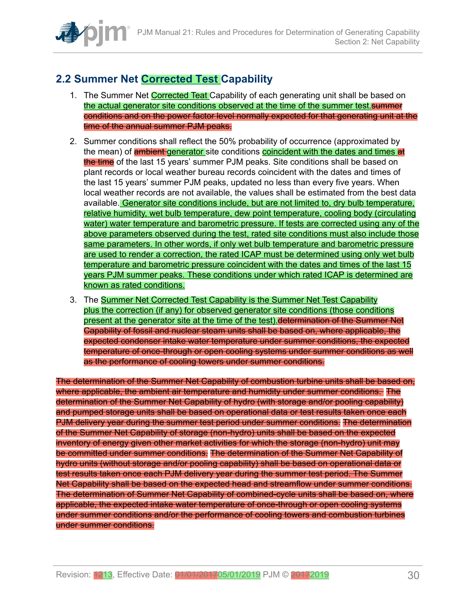

# <span id="page-29-0"></span>**2.2 Summer Net Corrected Test Capability**

- 1. The Summer Net Corrected Teat Capability of each generating unit shall be based on the actual generator site conditions observed at the time of the summer test.summer conditions and on the power factor level normally expected for that generating unit at the time of the annual summer PJM peaks.
- 2. Summer conditions shall reflect the 50% probability of occurrence (approximated by the mean) of **ambient** generator site conditions coincident with the dates and times at the time of the last 15 years' summer PJM peaks. Site conditions shall be based on plant records or local weather bureau records coincident with the dates and times of the last 15 years' summer PJM peaks, updated no less than every five years. When local weather records are not available, the values shall be estimated from the best data available. Generator site conditions include, but are not limited to, dry bulb temperature, relative humidity, wet bulb temperature, dew point temperature, cooling body (circulating water) water temperature and barometric pressure. If tests are corrected using any of the above parameters observed during the test, rated site conditions must also include those same parameters. In other words, if only wet bulb temperature and barometric pressure are used to render a correction, the rated ICAP must be determined using only wet bulb temperature and barometric pressure coincident with the dates and times of the last 15 years PJM summer peaks. These conditions under which rated ICAP is determined are known as rated conditions.
- 3. The Summer Net Corrected Test Capability is the Summer Net Test Capability plus the correction (if any) for observed generator site conditions (those conditions present at the generator site at the time of the test).determination of the Summer Net Capability of fossil and nuclear steam units shall be based on, where applicable, the expected condenser intake water temperature under summer conditions, the expected temperature of once-through or open cooling systems under summer conditions as well as the performance of cooling towers under summer conditions.

The determination of the Summer Net Capability of combustion turbine units shall be based on, where applicable, the ambient air temperature and humidity under summer conditions. The determination of the Summer Net Capability of hydro (with storage and/or pooling capability) and pumped storage units shall be based on operational data or test results taken once each PJM delivery year during the summer test period under summer conditions. The determination of the Summer Net Capability of storage (non-hydro) units shall be based on the expected inventory of energy given other market activities for which the storage (non-hydro) unit may be committed under summer conditions. The determination of the Summer Net Capability of hydro units (without storage and/or pooling capability) shall be based on operational data or test results taken once each PJM delivery year during the summer test period. The Summer Net Capability shall be based on the expected head and streamflow under summer conditions. The determination of Summer Net Capability of combined-cycle units shall be based on, where applicable, the expected intake water temperature of once-through or open cooling systems under summer conditions and/or the performance of cooling towers and combustion turbines under summer conditions.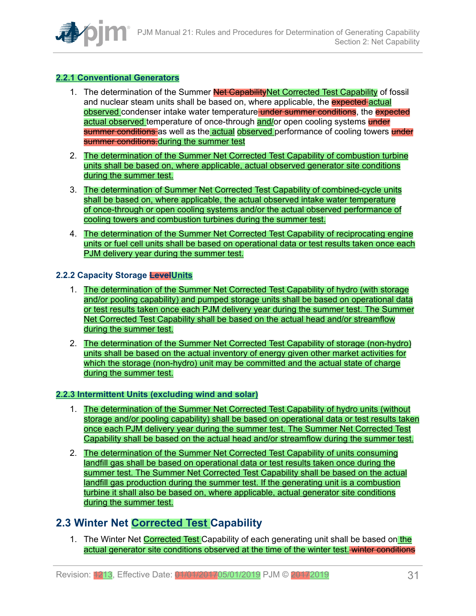

#### <span id="page-30-0"></span>**2.2.1 Conventional Generators**

- 1. The determination of the Summer Net CapabilityNet Corrected Test Capability of fossil and nuclear steam units shall be based on, where applicable, the expected actual observed condenser intake water temperature under summer conditions, the expected actual observed temperature of once-through and/or open cooling systems under summer conditions as well as the actual observed performance of cooling towers under summer conditions.during the summer test
- 2. The determination of the Summer Net Corrected Test Capability of combustion turbine units shall be based on, where applicable, actual observed generator site conditions during the summer test.
- 3. The determination of Summer Net Corrected Test Capability of combined-cycle units shall be based on, where applicable, the actual observed intake water temperature of once-through or open cooling systems and/or the actual observed performance of cooling towers and combustion turbines during the summer test.
- 4. The determination of the Summer Net Corrected Test Capability of reciprocating engine units or fuel cell units shall be based on operational data or test results taken once each PJM delivery year during the summer test.

#### <span id="page-30-1"></span>**2.2.2 Capacity Storage LevelUnits**

- 1. The determination of the Summer Net Corrected Test Capability of hydro (with storage and/or pooling capability) and pumped storage units shall be based on operational data or test results taken once each PJM delivery year during the summer test. The Summer Net Corrected Test Capability shall be based on the actual head and/or streamflow during the summer test.
- 2. The determination of the Summer Net Corrected Test Capability of storage (non-hydro) units shall be based on the actual inventory of energy given other market activities for which the storage (non-hydro) unit may be committed and the actual state of charge during the summer test.

#### <span id="page-30-2"></span>**2.2.3 Intermittent Units (excluding wind and solar)**

- 1. The determination of the Summer Net Corrected Test Capability of hydro units (without storage and/or pooling capability) shall be based on operational data or test results taken once each PJM delivery year during the summer test. The Summer Net Corrected Test Capability shall be based on the actual head and/or streamflow during the summer test.
- 2. The determination of the Summer Net Corrected Test Capability of units consuming landfill gas shall be based on operational data or test results taken once during the summer test. The Summer Net Corrected Test Capability shall be based on the actual landfill gas production during the summer test. If the generating unit is a combustion turbine it shall also be based on, where applicable, actual generator site conditions during the summer test.

## <span id="page-30-3"></span>**2.3 Winter Net Corrected Test Capability**

1. The Winter Net Corrected Test Capability of each generating unit shall be based on the actual generator site conditions observed at the time of the winter test. winter conditions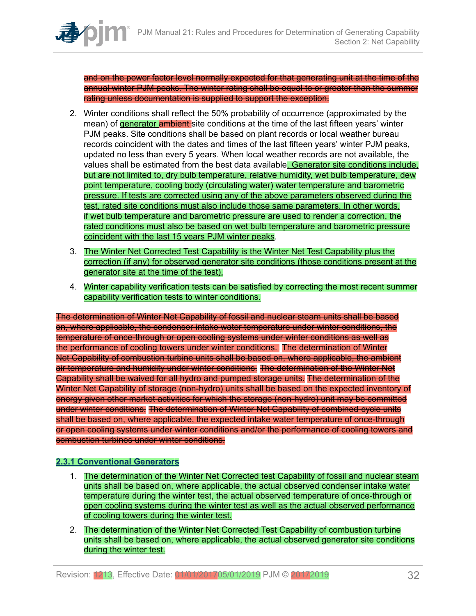and on the power factor level normally expected for that generating unit at the time of the annual winter PJM peaks. The winter rating shall be equal to or greater than the summer rating unless documentation is supplied to support the exception.

- 2. Winter conditions shall reflect the 50% probability of occurrence (approximated by the mean) of **generator ambient** site conditions at the time of the last fifteen years' winter PJM peaks. Site conditions shall be based on plant records or local weather bureau records coincident with the dates and times of the last fifteen years' winter PJM peaks, updated no less than every 5 years. When local weather records are not available, the values shall be estimated from the best data available. Generator site conditions include, but are not limited to, dry bulb temperature, relative humidity, wet bulb temperature, dew point temperature, cooling body (circulating water) water temperature and barometric pressure. If tests are corrected using any of the above parameters observed during the test, rated site conditions must also include those same parameters. In other words, if wet bulb temperature and barometric pressure are used to render a correction, the rated conditions must also be based on wet bulb temperature and barometric pressure coincident with the last 15 years PJM winter peaks.
- 3. The Winter Net Corrected Test Capability is the Winter Net Test Capability plus the correction (if any) for observed generator site conditions (those conditions present at the generator site at the time of the test).
- 4. Winter capability verification tests can be satisfied by correcting the most recent summer capability verification tests to winter conditions.

The determination of Winter Net Capability of fossil and nuclear steam units shall be based on, where applicable, the condenser intake water temperature under winter conditions, the temperature of once-through or open cooling systems under winter conditions as well as the performance of cooling towers under winter conditions. The determination of Winter Net Capability of combustion turbine units shall be based on, where applicable, the ambient air temperature and humidity under winter conditions. The determination of the Winter Net Capability shall be waived for all hydro and pumped storage units. The determination of the Winter Net Capability of storage (non-hydro) units shall be based on the expected inventory of energy given other market activities for which the storage (non-hydro) unit may be committed under winter conditions. The determination of Winter Net Capability of combined-cycle units shall be based on, where applicable, the expected intake water temperature of once-through or open cooling systems under winter conditions and/or the performance of cooling towers and combustion turbines under winter conditions.

### <span id="page-31-0"></span>**2.3.1 Conventional Generators**

- 1. The determination of the Winter Net Corrected test Capability of fossil and nuclear steam units shall be based on, where applicable, the actual observed condenser intake water temperature during the winter test, the actual observed temperature of once-through or open cooling systems during the winter test as well as the actual observed performance of cooling towers during the winter test.
- 2. The determination of the Winter Net Corrected Test Capability of combustion turbine units shall be based on, where applicable, the actual observed generator site conditions during the winter test.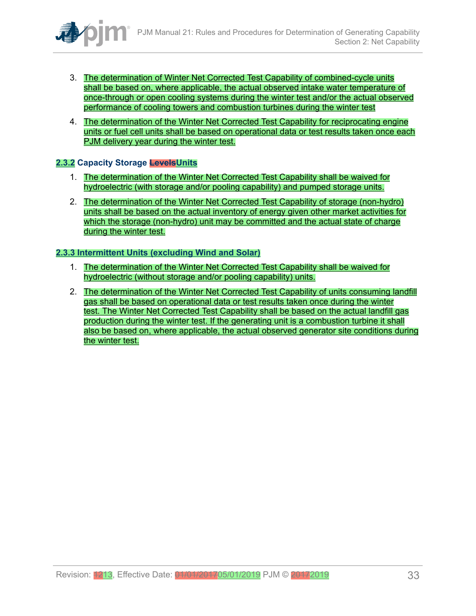

4. The determination of the Winter Net Corrected Test Capability for reciprocating engine units or fuel cell units shall be based on operational data or test results taken once each PJM delivery year during the winter test.

### <span id="page-32-0"></span>**2.3.2 Capacity Storage LevelsUnits**

- 1. The determination of the Winter Net Corrected Test Capability shall be waived for hydroelectric (with storage and/or pooling capability) and pumped storage units.
- 2. The determination of the Winter Net Corrected Test Capability of storage (non-hydro) units shall be based on the actual inventory of energy given other market activities for which the storage (non-hydro) unit may be committed and the actual state of charge during the winter test.

### <span id="page-32-1"></span>**2.3.3 Intermittent Units (excluding Wind and Solar)**

- 1. The determination of the Winter Net Corrected Test Capability shall be waived for hydroelectric (without storage and/or pooling capability) units.
- 2. The determination of the Winter Net Corrected Test Capability of units consuming landfill gas shall be based on operational data or test results taken once during the winter test. The Winter Net Corrected Test Capability shall be based on the actual landfill gas production during the winter test. If the generating unit is a combustion turbine it shall also be based on, where applicable, the actual observed generator site conditions during the winter test.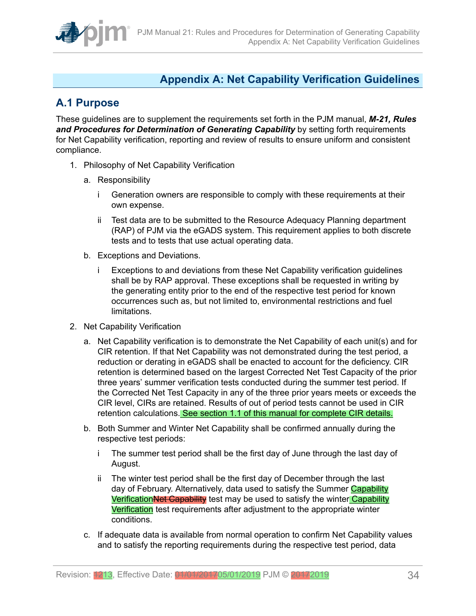

# <span id="page-33-0"></span>**Appendix A: Net Capability Verification Guidelines**

# <span id="page-33-1"></span>**A.1 Purpose**

These guidelines are to supplement the requirements set forth in the PJM manual, *M-21, Rules and Procedures for Determination of Generating Capability* by setting forth requirements for Net Capability verification, reporting and review of results to ensure uniform and consistent compliance.

- 1. Philosophy of Net Capability Verification
	- a. Responsibility
		- i Generation owners are responsible to comply with these requirements at their own expense.
		- ii Test data are to be submitted to the Resource Adequacy Planning department (RAP) of PJM via the eGADS system. This requirement applies to both discrete tests and to tests that use actual operating data.
	- b. Exceptions and Deviations.
		- i Exceptions to and deviations from these Net Capability verification guidelines shall be by RAP approval. These exceptions shall be requested in writing by the generating entity prior to the end of the respective test period for known occurrences such as, but not limited to, environmental restrictions and fuel limitations.
- 2. Net Capability Verification
	- a. Net Capability verification is to demonstrate the Net Capability of each unit(s) and for CIR retention. If that Net Capability was not demonstrated during the test period, a reduction or derating in eGADS shall be enacted to account for the deficiency. CIR retention is determined based on the largest Corrected Net Test Capacity of the prior three years' summer verification tests conducted during the summer test period. If the Corrected Net Test Capacity in any of the three prior years meets or exceeds the CIR level, CIRs are retained. Results of out of period tests cannot be used in CIR retention calculations. See section 1.1 of this manual for complete CIR details.
	- b. Both Summer and Winter Net Capability shall be confirmed annually during the respective test periods:
		- i The summer test period shall be the first day of June through the last day of August.
		- ii The winter test period shall be the first day of December through the last day of February. Alternatively, data used to satisfy the Summer Capability Verification Net Capability test may be used to satisfy the winter Capability Verification test requirements after adjustment to the appropriate winter conditions.
	- c. If adequate data is available from normal operation to confirm Net Capability values and to satisfy the reporting requirements during the respective test period, data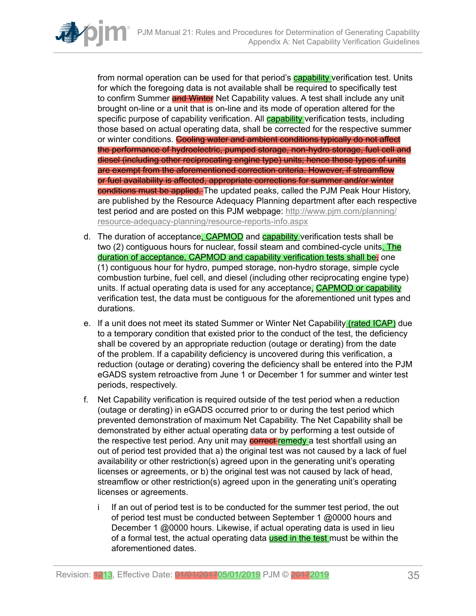from normal operation can be used for that period's capability verification test. Units for which the foregoing data is not available shall be required to specifically test to confirm Summer and Winter Net Capability values. A test shall include any unit brought on-line or a unit that is on-line and its mode of operation altered for the specific purpose of capability verification. All **capability** verification tests, including those based on actual operating data, shall be corrected for the respective summer or winter conditions. Cooling water and ambient conditions typically do not affect the performance of hydroelectric, pumped storage, non-hydro storage, fuel cell and diesel (including other reciprocating engine type) units; hence these types of units are exempt from the aforementioned correction criteria. However, if streamflow or fuel availability is affected, appropriate corrections for summer and/or winter conditions must be applied. The updated peaks, called the PJM Peak Hour History, are published by the Resource Adequacy Planning department after each respective test period and are posted on this PJM webpage: [http://www.pjm.com/planning/](http://www.pjm.com/planning/resource-adequacy-planning/resource-reports-info.aspx) [resource-adequacy-planning/resource-reports-info.aspx](http://www.pjm.com/planning/resource-adequacy-planning/resource-reports-info.aspx)

- d. The duration of acceptance, CAPMOD and capability verification tests shall be two (2) contiguous hours for nuclear, fossil steam and combined-cycle units. The duration of acceptance, CAPMOD and capability verification tests shall be, one (1) contiguous hour for hydro, pumped storage, non-hydro storage, simple cycle combustion turbine, fuel cell, and diesel (including other reciprocating engine type) units. If actual operating data is used for any acceptance. CAPMOD or capability verification test, the data must be contiguous for the aforementioned unit types and durations.
- e. If a unit does not meet its stated Summer or Winter Net Capability (rated ICAP) due to a temporary condition that existed prior to the conduct of the test, the deficiency shall be covered by an appropriate reduction (outage or derating) from the date of the problem. If a capability deficiency is uncovered during this verification, a reduction (outage or derating) covering the deficiency shall be entered into the PJM eGADS system retroactive from June 1 or December 1 for summer and winter test periods, respectively.
- f. Net Capability verification is required outside of the test period when a reduction (outage or derating) in eGADS occurred prior to or during the test period which prevented demonstration of maximum Net Capability. The Net Capability shall be demonstrated by either actual operating data or by performing a test outside of the respective test period. Any unit may **correct** remedy a test shortfall using an out of period test provided that a) the original test was not caused by a lack of fuel availability or other restriction(s) agreed upon in the generating unit's operating licenses or agreements, or b) the original test was not caused by lack of head, streamflow or other restriction(s) agreed upon in the generating unit's operating licenses or agreements.
	- i If an out of period test is to be conducted for the summer test period, the out of period test must be conducted between September 1 @0000 hours and December 1 @0000 hours. Likewise, if actual operating data is used in lieu of a formal test, the actual operating data used in the test must be within the aforementioned dates.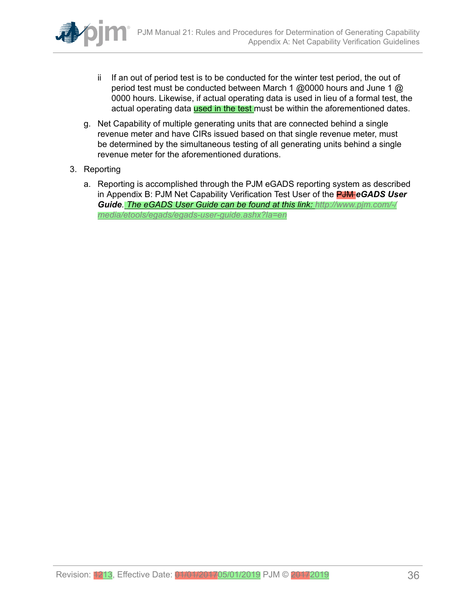

- ii If an out of period test is to be conducted for the winter test period, the out of period test must be conducted between March 1 @0000 hours and June 1 @ 0000 hours. Likewise, if actual operating data is used in lieu of a formal test, the actual operating data used in the test must be within the aforementioned dates.
- g. Net Capability of multiple generating units that are connected behind a single revenue meter and have CIRs issued based on that single revenue meter, must be determined by the simultaneous testing of all generating units behind a single revenue meter for the aforementioned durations.
- 3. Reporting
	- a. Reporting is accomplished through the PJM eGADS reporting system as described in Appendix B: PJM Net Capability Verification Test User of the PJM *eGADS User Guide. The eGADS User Guide can be found at this link: [http://www.pjm.com/-/](http://www.pjm.com/-/media/etools/egads/egads-user-guide.ashx?la=en) [media/etools/egads/egads-user-guide.ashx?la=en](http://www.pjm.com/-/media/etools/egads/egads-user-guide.ashx?la=en)*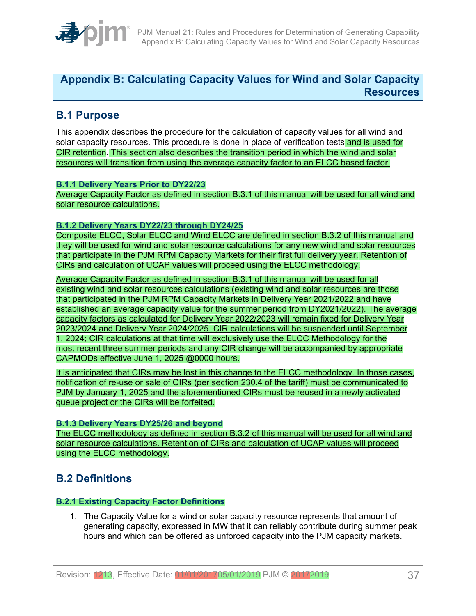

# <span id="page-36-0"></span>**Appendix B: Calculating Capacity Values for Wind and Solar Capacity Resources**

## <span id="page-36-1"></span>**B.1 Purpose**

This appendix describes the procedure for the calculation of capacity values for all wind and solar capacity resources. This procedure is done in place of verification tests and is used for CIR retention. This section also describes the transition period in which the wind and solar resources will transition from using the average capacity factor to an ELCC based factor.

### <span id="page-36-2"></span>**B.1.1 Delivery Years Prior to DY22/23**

Average Capacity Factor as defined in section B.3.1 of this manual will be used for all wind and solar resource calculations**.**

#### <span id="page-36-3"></span>**B.1.2 Delivery Years DY22/23 through DY24/25**

Composite ELCC, Solar ELCC and Wind ELCC are defined in section B.3.2 of this manual and they will be used for wind and solar resource calculations for any new wind and solar resources that participate in the PJM RPM Capacity Markets for their first full delivery year. Retention of CIRs and calculation of UCAP values will proceed using the ELCC methodology.

Average Capacity Factor as defined in section B.3.1 of this manual will be used for all existing wind and solar resources calculations (existing wind and solar resources are those that participated in the PJM RPM Capacity Markets in Delivery Year 2021/2022 and have established an average capacity value for the summer period from DY2021/2022). The average capacity factors as calculated for Delivery Year 2022/2023 will remain fixed for Delivery Year 2023/2024 and Delivery Year 2024/2025. CIR calculations will be suspended until September 1, 2024; CIR calculations at that time will exclusively use the ELCC Methodology for the most recent three summer periods and any CIR change will be accompanied by appropriate CAPMODs effective June 1, 2025 @0000 hours.

It is anticipated that CIRs may be lost in this change to the ELCC methodology. In those cases, notification of re-use or sale of CIRs (per section 230.4 of the tariff) must be communicated to PJM by January 1, 2025 and the aforementioned CIRs must be reused in a newly activated queue project or the CIRs will be forfeited.

### <span id="page-36-4"></span>**B.1.3 Delivery Years DY25/26 and beyond**

The ELCC methodology as defined in section B.3.2 of this manual will be used for all wind and solar resource calculations. Retention of CIRs and calculation of UCAP values will proceed using the ELCC methodology.

# <span id="page-36-5"></span>**B.2 Definitions**

### <span id="page-36-6"></span>**B.2.1 Existing Capacity Factor Definitions**

1. The Capacity Value for a wind or solar capacity resource represents that amount of generating capacity, expressed in MW that it can reliably contribute during summer peak hours and which can be offered as unforced capacity into the PJM capacity markets.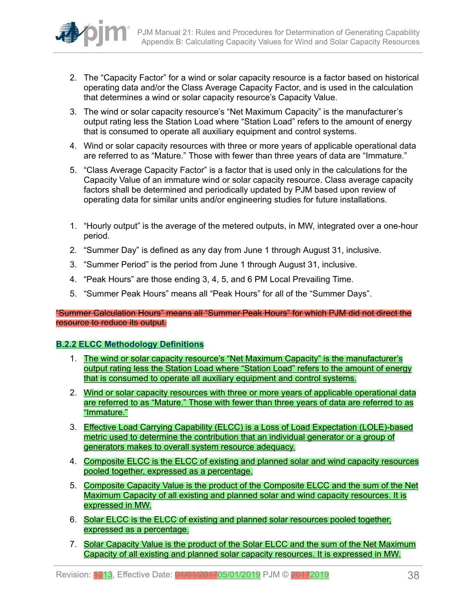

- 2. The "Capacity Factor" for a wind or solar capacity resource is a factor based on historical operating data and/or the Class Average Capacity Factor, and is used in the calculation that determines a wind or solar capacity resource's Capacity Value.
- 3. The wind or solar capacity resource's "Net Maximum Capacity" is the manufacturer's output rating less the Station Load where "Station Load" refers to the amount of energy that is consumed to operate all auxiliary equipment and control systems.
- 4. Wind or solar capacity resources with three or more years of applicable operational data are referred to as "Mature." Those with fewer than three years of data are "Immature."
- 5. "Class Average Capacity Factor" is a factor that is used only in the calculations for the Capacity Value of an immature wind or solar capacity resource. Class average capacity factors shall be determined and periodically updated by PJM based upon review of operating data for similar units and/or engineering studies for future installations.
- 1. "Hourly output" is the average of the metered outputs, in MW, integrated over a one-hour period.
- 2. "Summer Day" is defined as any day from June 1 through August 31, inclusive.
- 3. "Summer Period" is the period from June 1 through August 31, inclusive.
- 4. "Peak Hours" are those ending 3, 4, 5, and 6 PM Local Prevailing Time.
- 5. "Summer Peak Hours" means all "Peak Hours" for all of the "Summer Days".

"Summer Calculation Hours" means all "Summer Peak Hours" for which PJM did not direct the resource to reduce its output.

#### <span id="page-37-0"></span>**B.2.2 ELCC Methodology Definitions**

- 1. The wind or solar capacity resource's "Net Maximum Capacity" is the manufacturer's output rating less the Station Load where "Station Load" refers to the amount of energy that is consumed to operate all auxiliary equipment and control systems.
- 2. Wind or solar capacity resources with three or more years of applicable operational data are referred to as "Mature." Those with fewer than three years of data are referred to as "Immature."
- 3. Effective Load Carrying Capability (ELCC) is a Loss of Load Expectation (LOLE)-based metric used to determine the contribution that an individual generator or a group of generators makes to overall system resource adequacy.
- 4. Composite ELCC is the ELCC of existing and planned solar and wind capacity resources pooled together, expressed as a percentage.
- 5. Composite Capacity Value is the product of the Composite ELCC and the sum of the Net Maximum Capacity of all existing and planned solar and wind capacity resources. It is expressed in MW.
- 6. Solar ELCC is the ELCC of existing and planned solar resources pooled together, expressed as a percentage.
- 7. Solar Capacity Value is the product of the Solar ELCC and the sum of the Net Maximum Capacity of all existing and planned solar capacity resources. It is expressed in MW.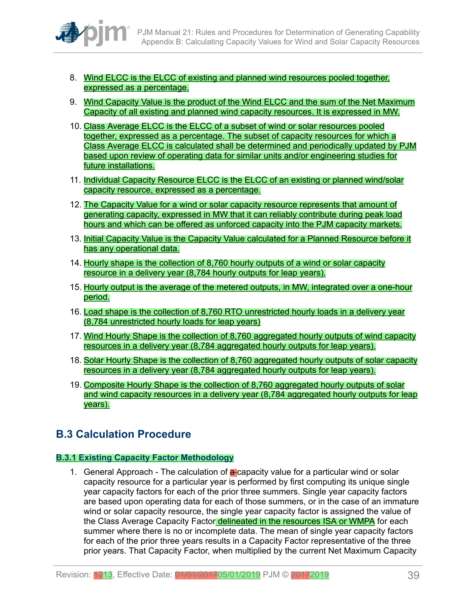

- 8. Wind ELCC is the ELCC of existing and planned wind resources pooled together, expressed as a percentage.
- 9. Wind Capacity Value is the product of the Wind ELCC and the sum of the Net Maximum Capacity of all existing and planned wind capacity resources. It is expressed in MW.
- 10. Class Average ELCC is the ELCC of a subset of wind or solar resources pooled together, expressed as a percentage. The subset of capacity resources for which a Class Average ELCC is calculated shall be determined and periodically updated by PJM based upon review of operating data for similar units and/or engineering studies for future installations.
- 11. Individual Capacity Resource ELCC is the ELCC of an existing or planned wind/solar capacity resource, expressed as a percentage.
- 12. The Capacity Value for a wind or solar capacity resource represents that amount of generating capacity, expressed in MW that it can reliably contribute during peak load hours and which can be offered as unforced capacity into the PJM capacity markets.
- 13. Initial Capacity Value is the Capacity Value calculated for a Planned Resource before it has any operational data.
- 14. Hourly shape is the collection of 8,760 hourly outputs of a wind or solar capacity resource in a delivery year (8,784 hourly outputs for leap years).
- 15. Hourly output is the average of the metered outputs, in MW, integrated over a one-hour period.
- 16. Load shape is the collection of 8,760 RTO unrestricted hourly loads in a delivery year (8,784 unrestricted hourly loads for leap years)
- 17. Wind Hourly Shape is the collection of 8,760 aggregated hourly outputs of wind capacity resources in a delivery year (8,784 aggregated hourly outputs for leap years).
- 18. Solar Hourly Shape is the collection of 8,760 aggregated hourly outputs of solar capacity resources in a delivery year (8,784 aggregated hourly outputs for leap years).
- 19. Composite Hourly Shape is the collection of 8,760 aggregated hourly outputs of solar and wind capacity resources in a delivery year (8,784 aggregated hourly outputs for leap years).

# <span id="page-38-0"></span>**B.3 Calculation Procedure**

#### <span id="page-38-1"></span>**B.3.1 Existing Capacity Factor Methodology**

1. General Approach - The calculation of a capacity value for a particular wind or solar capacity resource for a particular year is performed by first computing its unique single year capacity factors for each of the prior three summers. Single year capacity factors are based upon operating data for each of those summers, or in the case of an immature wind or solar capacity resource, the single year capacity factor is assigned the value of the Class Average Capacity Factor delineated in the resources ISA or WMPA for each summer where there is no or incomplete data. The mean of single year capacity factors for each of the prior three years results in a Capacity Factor representative of the three prior years. That Capacity Factor, when multiplied by the current Net Maximum Capacity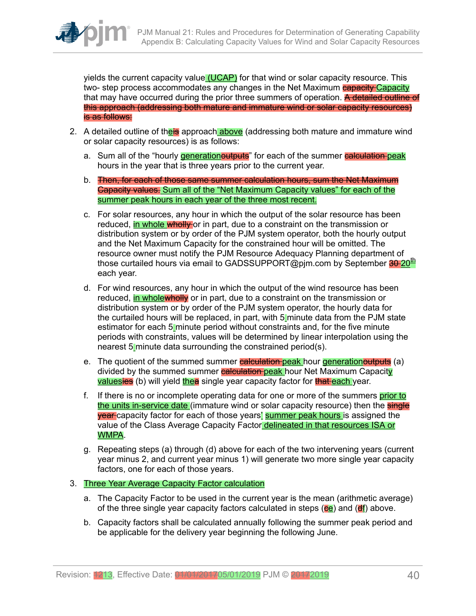

yields the current capacity value (UCAP) for that wind or solar capacity resource. This two- step process accommodates any changes in the Net Maximum capacity Capacity that may have occurred during the prior three summers of operation. A detailed outline of this approach (addressing both mature and immature wind or solar capacity resources) is as follows:

- 2. A detailed outline of theis approach above (addressing both mature and immature wind or solar capacity resources) is as follows:
	- a. Sum all of the "hourly generation but puts" for each of the summer calculation peak hours in the year that is three years prior to the current year.
	- b. Then, for each of those same summer calculation hours, sum the Net Maximum Capacity values. Sum all of the "Net Maximum Capacity values" for each of the summer peak hours in each year of the three most recent.
	- c. For solar resources, any hour in which the output of the solar resource has been reduced, in whole wholly or in part, due to a constraint on the transmission or distribution system or by order of the PJM system operator, both the hourly output and the Net Maximum Capacity for the constrained hour will be omitted. The resource owner must notify the PJM Resource Adequacy Planning department of those curtailed hours via email to GADSSUPPORT@pjm.com by September 30-20<sup>th</sup> each year.
	- d. For wind resources, any hour in which the output of the wind resource has been reduced, in wholewholly or in part, due to a constraint on the transmission or distribution system or by order of the PJM system operator, the hourly data for the curtailed hours will be replaced, in part, with 5 minute data from the PJM state estimator for each 5 minute period without constraints and, for the five minute periods with constraints, values will be determined by linear interpolation using the nearest 5 minute data surrounding the constrained period(s).
	- e. The quotient of the summed summer **calculation peak** hour **generation outputs** (a) divided by the summed summer **calculation peak** hour Net Maximum Capacity valuesies (b) will yield thea single year capacity factor for that each year.
	- f. If there is no or incomplete operating data for one or more of the summers prior to the units in-service date (immature wind or solar capacity resource) then the single **year** capacity factor for each of those years' summer peak hours is assigned the value of the Class Average Capacity Factor delineated in that resources ISA or WMPA.
	- g. Repeating steps (a) through (d) above for each of the two intervening years (current year minus 2, and current year minus 1) will generate two more single year capacity factors, one for each of those years.

### 3. Three Year Average Capacity Factor calculation

- a. The Capacity Factor to be used in the current year is the mean (arithmetic average) of the three single year capacity factors calculated in steps ( $ee$ ) and ( $df$ ) above.
- b. Capacity factors shall be calculated annually following the summer peak period and be applicable for the delivery year beginning the following June.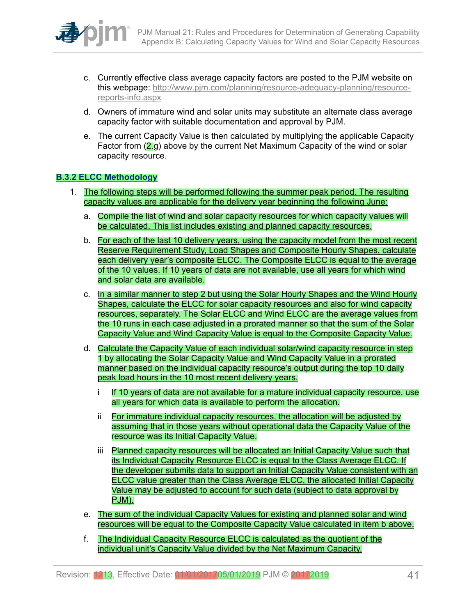

- c. Currently effective class average capacity factors are posted to the PJM website on this webpage: [http://www.pjm.com/planning/resource-adequacy-planning/resource](http://www.pjm.com/planning/resource-adequacy-planning/resource-reports-info.aspx)[reports-info.aspx](http://www.pjm.com/planning/resource-adequacy-planning/resource-reports-info.aspx)
- d. Owners of immature wind and solar units may substitute an alternate class average capacity factor with suitable documentation and approval by PJM.
- e. The current Capacity Value is then calculated by multiplying the applicable Capacity Factor from (2.g) above by the current Net Maximum Capacity of the wind or solar capacity resource.

#### <span id="page-40-0"></span>**B.3.2 ELCC Methodology**

- 1. The following steps will be performed following the summer peak period. The resulting capacity values are applicable for the delivery year beginning the following June:
	- a. Compile the list of wind and solar capacity resources for which capacity values will be calculated. This list includes existing and planned capacity resources.
	- b. For each of the last 10 delivery years, using the capacity model from the most recent Reserve Requirement Study, Load Shapes and Composite Hourly Shapes, calculate each delivery year's composite ELCC. The Composite ELCC is equal to the average of the 10 values. If 10 years of data are not available, use all years for which wind and solar data are available.
	- c. In a similar manner to step 2 but using the Solar Hourly Shapes and the Wind Hourly Shapes, calculate the ELCC for solar capacity resources and also for wind capacity resources, separately. The Solar ELCC and Wind ELCC are the average values from the 10 runs in each case adjusted in a prorated manner so that the sum of the Solar Capacity Value and Wind Capacity Value is equal to the Composite Capacity Value.
	- d. Calculate the Capacity Value of each individual solar/wind capacity resource in step 1 by allocating the Solar Capacity Value and Wind Capacity Value in a prorated manner based on the individual capacity resource's output during the top 10 daily peak load hours in the 10 most recent delivery years.
		- i If 10 years of data are not available for a mature individual capacity resource, use all years for which data is available to perform the allocation.
		- ii For immature individual capacity resources, the allocation will be adjusted by assuming that in those years without operational data the Capacity Value of the resource was its Initial Capacity Value.
		- iii Planned capacity resources will be allocated an Initial Capacity Value such that its Individual Capacity Resource ELCC is equal to the Class Average ELCC. If the developer submits data to support an Initial Capacity Value consistent with an ELCC value greater than the Class Average ELCC, the allocated Initial Capacity Value may be adjusted to account for such data (subject to data approval by PJM).
	- e. The sum of the individual Capacity Values for existing and planned solar and wind resources will be equal to the Composite Capacity Value calculated in item b above.
	- f. The Individual Capacity Resource ELCC is calculated as the quotient of the individual unit's Capacity Value divided by the Net Maximum Capacity.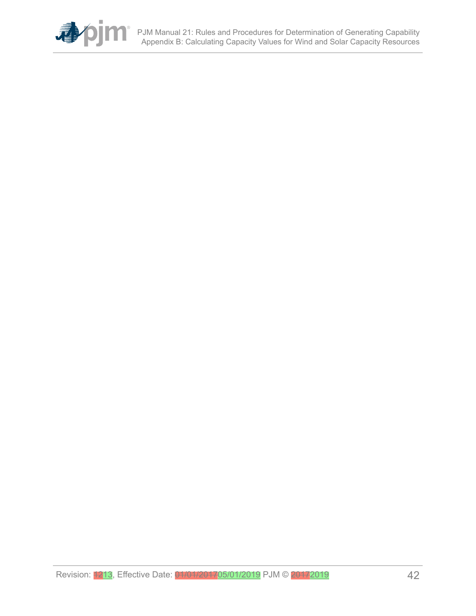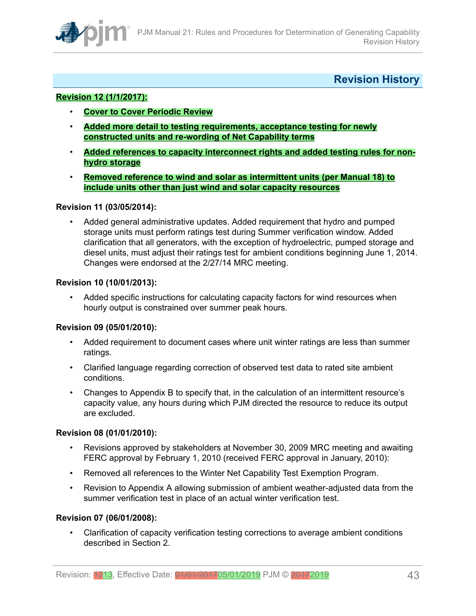

<span id="page-42-0"></span>**Revision History**

#### **Revision 12 (1/1/2017):**

- **Cover to Cover Periodic Review**
- **Added more detail to testing requirements, acceptance testing for newly constructed units and re-wording of Net Capability terms**
- Added references to capacity interconnect rights and added testing rules for non**hydro storage**
- **Removed reference to wind and solar as intermittent units (per Manual 18) to include units other than just wind and solar capacity resources**

#### **Revision 11 (03/05/2014):**

• Added general administrative updates. Added requirement that hydro and pumped storage units must perform ratings test during Summer verification window. Added clarification that all generators, with the exception of hydroelectric, pumped storage and diesel units, must adjust their ratings test for ambient conditions beginning June 1, 2014. Changes were endorsed at the 2/27/14 MRC meeting.

#### **Revision 10 (10/01/2013):**

• Added specific instructions for calculating capacity factors for wind resources when hourly output is constrained over summer peak hours.

### **Revision 09 (05/01/2010):**

- Added requirement to document cases where unit winter ratings are less than summer ratings.
- Clarified language regarding correction of observed test data to rated site ambient conditions.
- Changes to Appendix B to specify that, in the calculation of an intermittent resource's capacity value, any hours during which PJM directed the resource to reduce its output are excluded.

#### **Revision 08 (01/01/2010):**

- Revisions approved by stakeholders at November 30, 2009 MRC meeting and awaiting FERC approval by February 1, 2010 (received FERC approval in January, 2010):
- Removed all references to the Winter Net Capability Test Exemption Program.
- Revision to Appendix A allowing submission of ambient weather-adjusted data from the summer verification test in place of an actual winter verification test.

### **Revision 07 (06/01/2008):**

• Clarification of capacity verification testing corrections to average ambient conditions described in Section 2.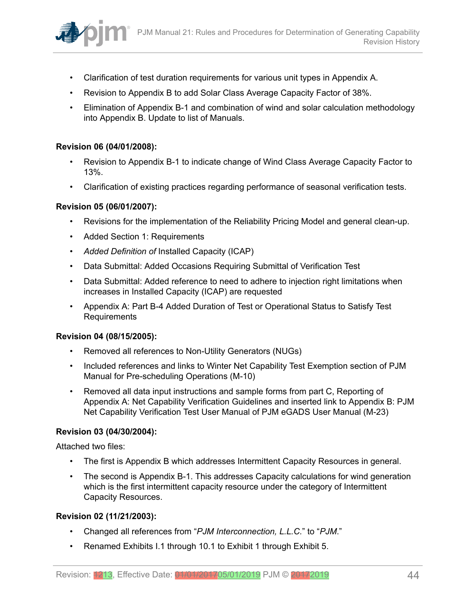

- Clarification of test duration requirements for various unit types in Appendix A.
- Revision to Appendix B to add Solar Class Average Capacity Factor of 38%.
- Elimination of Appendix B-1 and combination of wind and solar calculation methodology into Appendix B. Update to list of Manuals.

#### **Revision 06 (04/01/2008):**

- Revision to Appendix B-1 to indicate change of Wind Class Average Capacity Factor to 13%.
- Clarification of existing practices regarding performance of seasonal verification tests.

#### **Revision 05 (06/01/2007):**

- Revisions for the implementation of the Reliability Pricing Model and general clean-up.
- Added Section 1: Requirements
- *Added Definition of* Installed Capacity (ICAP)
- Data Submittal: Added Occasions Requiring Submittal of Verification Test
- Data Submittal: Added reference to need to adhere to injection right limitations when increases in Installed Capacity (ICAP) are requested
- Appendix A: Part B-4 Added Duration of Test or Operational Status to Satisfy Test Requirements

#### **Revision 04 (08/15/2005):**

- Removed all references to Non-Utility Generators (NUGs)
- Included references and links to Winter Net Capability Test Exemption section of PJM Manual for Pre-scheduling Operations (M-10)
- Removed all data input instructions and sample forms from part C, Reporting of Appendix A: Net Capability Verification Guidelines and inserted link to Appendix B: PJM Net Capability Verification Test User Manual of PJM eGADS User Manual (M-23)

#### **Revision 03 (04/30/2004):**

Attached two files:

- The first is Appendix B which addresses Intermittent Capacity Resources in general.
- The second is Appendix B-1. This addresses Capacity calculations for wind generation which is the first intermittent capacity resource under the category of Intermittent Capacity Resources.

#### **Revision 02 (11/21/2003):**

- Changed all references from "*PJM Interconnection, L.L.C.*" to "*PJM*."
- Renamed Exhibits I.1 through 10.1 to Exhibit 1 through Exhibit 5.